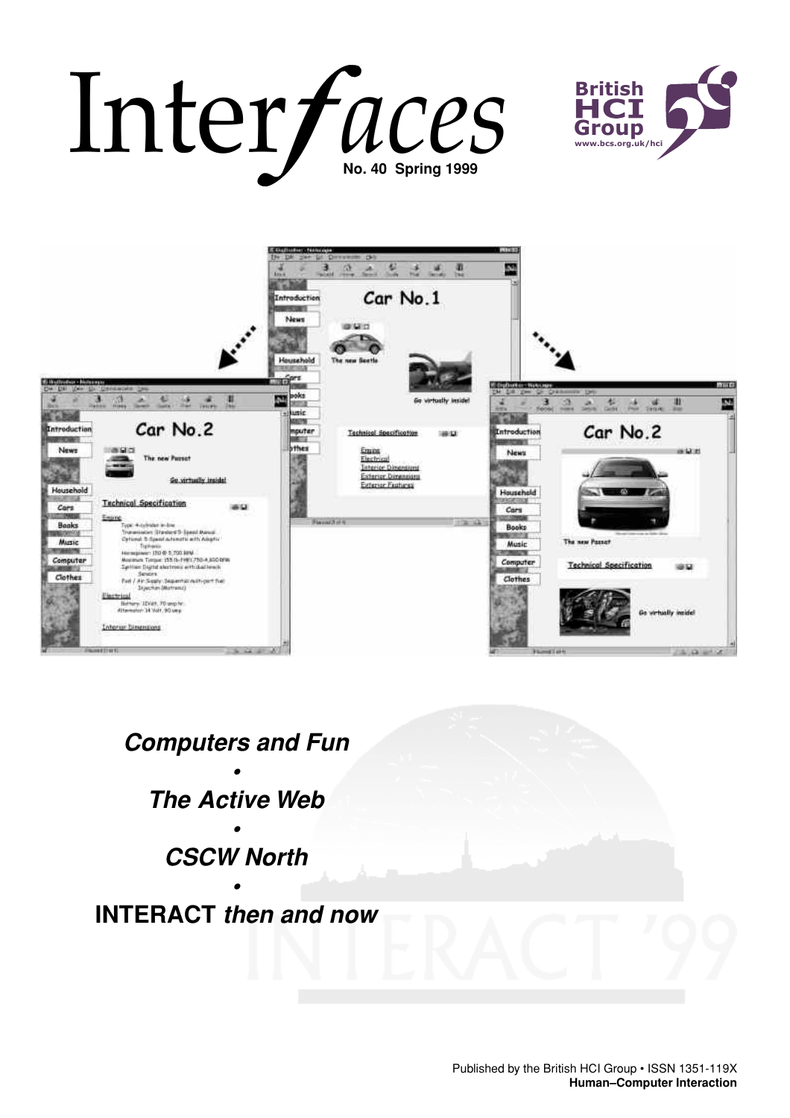# Inter *Jaces* **Fitish**<br>
No. 40 Spring 1999





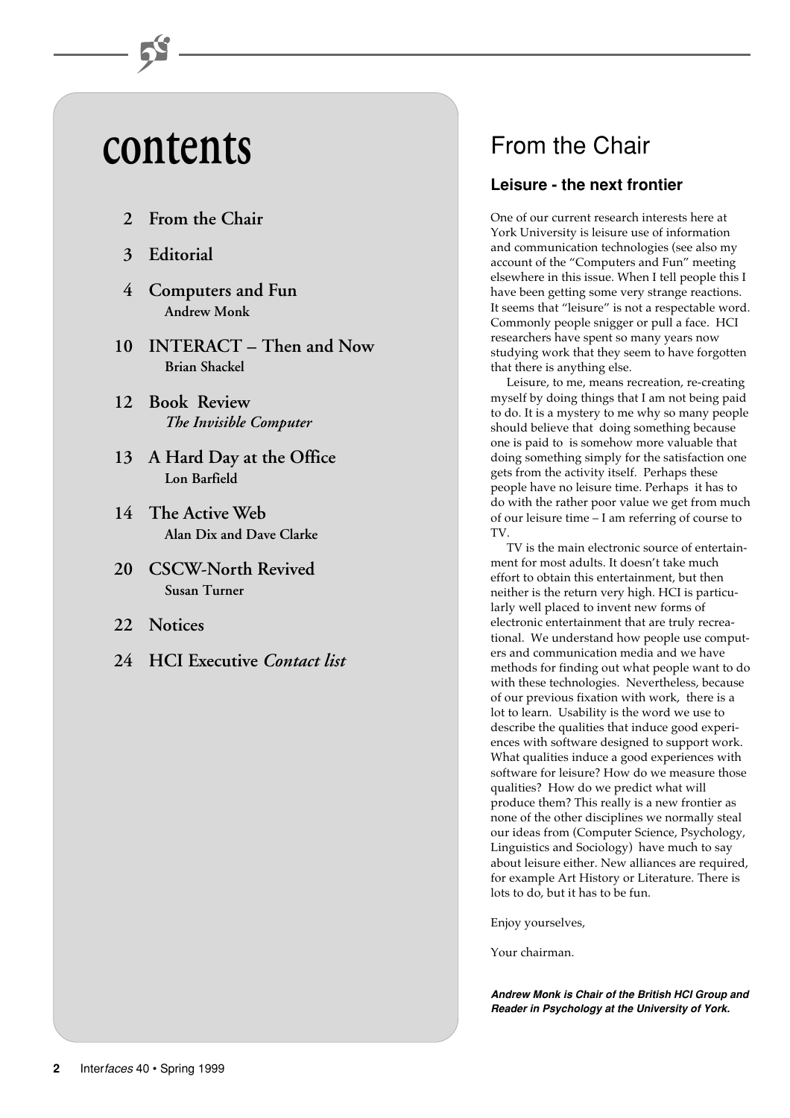# **contents**

- **2 From the Chair**
- **3 Editorial**
- **4 Computers and Fun Andrew Monk**
- **10 INTERACT Then and Now Brian Shackel**
- **12 Book Review** *The Invisible Computer*
- **13 A Hard Day at the Office Lon Barfield**
- **14 The Active Web Alan Dix and Dave Clarke**
- **20 CSCW-North Revived Susan Turner**
- **22 Notices**
- **24 HCI Executive** *Contact list*

# From the Chair

# **Leisure - the next frontier**

One of our current research interests here at York University is leisure use of information and communication technologies (see also my account of the "Computers and Fun" meeting elsewhere in this issue. When I tell people this I have been getting some very strange reactions. It seems that "leisure" is not a respectable word. Commonly people snigger or pull a face. HCI researchers have spent so many years now studying work that they seem to have forgotten that there is anything else.

Leisure, to me, means recreation, re-creating myself by doing things that I am not being paid to do. It is a mystery to me why so many people should believe that doing something because one is paid to is somehow more valuable that doing something simply for the satisfaction one gets from the activity itself. Perhaps these people have no leisure time. Perhaps it has to do with the rather poor value we get from much of our leisure time – I am referring of course to TV.

TV is the main electronic source of entertainment for most adults. It doesn't take much effort to obtain this entertainment, but then neither is the return very high. HCI is particularly well placed to invent new forms of electronic entertainment that are truly recreational. We understand how people use computers and communication media and we have methods for finding out what people want to do with these technologies. Nevertheless, because of our previous fixation with work, there is a lot to learn. Usability is the word we use to describe the qualities that induce good experiences with software designed to support work. What qualities induce a good experiences with software for leisure? How do we measure those qualities? How do we predict what will produce them? This really is a new frontier as none of the other disciplines we normally steal our ideas from (Computer Science, Psychology, Linguistics and Sociology) have much to say about leisure either. New alliances are required, for example Art History or Literature. There is lots to do, but it has to be fun.

Enjoy yourselves,

Your chairman.

**Andrew Monk is Chair of the British HCI Group and Reader in Psychology at the University of York.**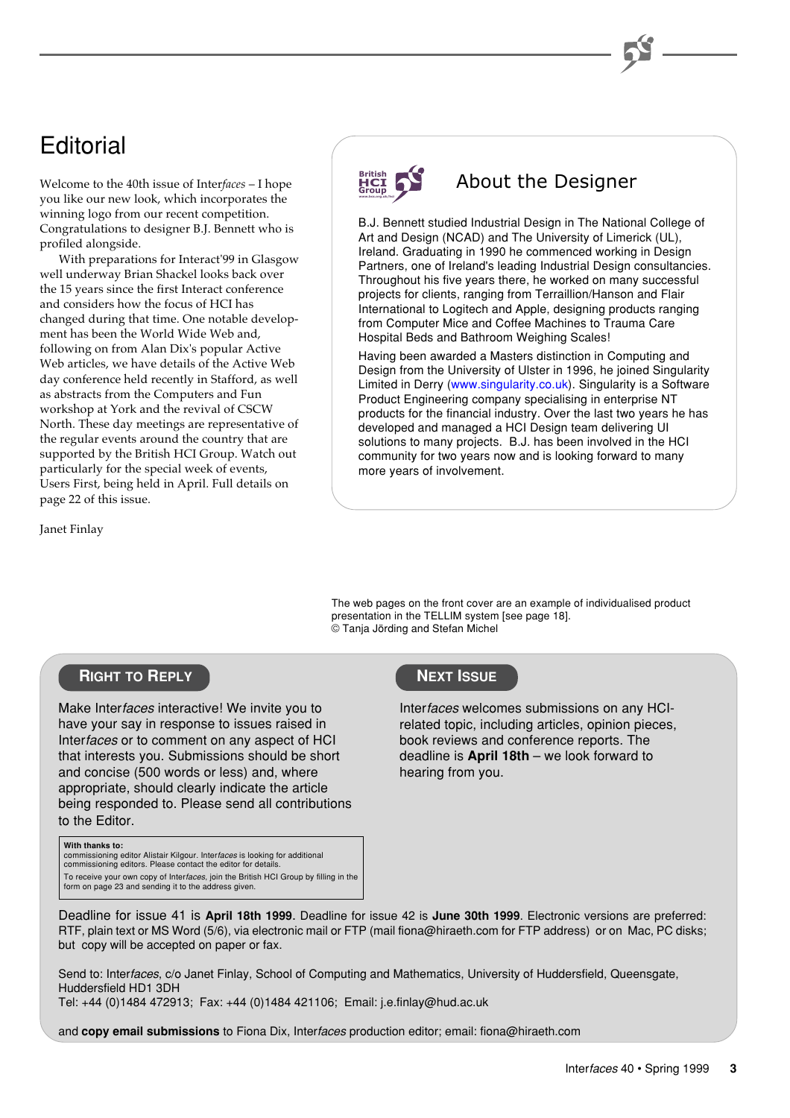# **Editorial**

Welcome to the 40th issue of Inter*faces* – I hope you like our new look, which incorporates the winning logo from our recent competition. Congratulations to designer B.J. Bennett who is profiled alongside.

 With preparations for Interact'99 in Glasgow well underway Brian Shackel looks back over the 15 years since the first Interact conference and considers how the focus of HCI has changed during that time. One notable development has been the World Wide Web and, following on from Alan Dix's popular Active Web articles, we have details of the Active Web day conference held recently in Stafford, as well as abstracts from the Computers and Fun workshop at York and the revival of CSCW North. These day meetings are representative of the regular events around the country that are supported by the British HCI Group. Watch out particularly for the special week of events, Users First, being held in April. Full details on page 22 of this issue.

Janet Finlay

#### **British Group www.bcs.org.uk/hci**

# About the Designer

B.J. Bennett studied Industrial Design in The National College of Art and Design (NCAD) and The University of Limerick (UL), Ireland. Graduating in 1990 he commenced working in Design Partners, one of Ireland's leading Industrial Design consultancies. Throughout his five years there, he worked on many successful projects for clients, ranging from Terraillion/Hanson and Flair International to Logitech and Apple, designing products ranging from Computer Mice and Coffee Machines to Trauma Care Hospital Beds and Bathroom Weighing Scales!

Having been awarded a Masters distinction in Computing and Design from the University of Ulster in 1996, he joined Singularity Limited in Derry [\(www.singularity.co.uk\)](http://www.singularity.co.uk). Singularity is a Software Product Engineering company specialising in enterprise NT products for the financial industry. Over the last two years he has developed and managed a HCI Design team delivering UI solutions to many projects. B.J. has been involved in the HCI community for two years now and is looking forward to many more years of involvement.

The web pages on the front cover are an example of individualised product presentation in the TELLIM system [see page 18]. © Tanja Jörding and Stefan Michel

# **RIGHT TO REPLY**

Make Interfaces interactive! We invite you to have your say in response to issues raised in Interfaces or to comment on any aspect of HCI that interests you. Submissions should be short and concise (500 words or less) and, where appropriate, should clearly indicate the article being responded to. Please send all contributions to the Editor.

#### **With thanks to:**

commissioning editor Alistair Kilgour. Inter*faces* is looking for additional<br>commissioning editors. Please contact the editor for details.

To receive your own copy of Inter*faces*, join the British HCI Group by filling in the<br>form on page 23 and sending it to the address given.

# **NEXT ISSUE**

Interfaces welcomes submissions on any HCIrelated topic, including articles, opinion pieces, book reviews and conference reports. The deadline is **April 18th** – we look forward to hearing from you.

Deadline for issue 41 is **April 18th 1999**. Deadline for issue 42 is **June 30th 1999**. Electronic versions are preferred: RTF, plain text or MS Word (5/6), via electronic mail or FTP (mail fiona@hiraeth.com for FTP address) or on Mac, PC disks; but copy will be accepted on paper or fax.

Send to: Interfaces, c/o Janet Finlay, School of Computing and Mathematics, University of Huddersfield, Queensgate, Huddersfield HD1 3DH

Tel: +44 (0)1484 472913; Fax: +44 (0)1484 421106; Email: j.e.finlay@hud.ac.uk

and **copy email submissions** to Fiona Dix, Interfaces production editor; email: fiona@hiraeth.com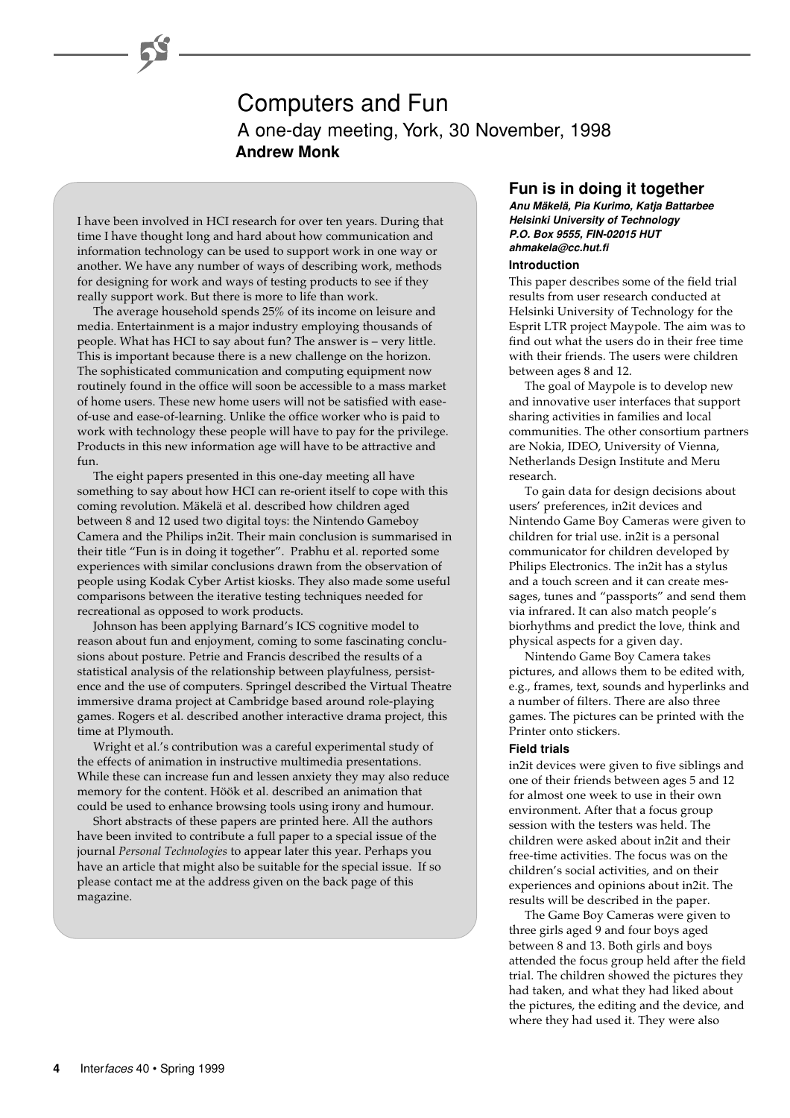# Computers and Fun A one-day meeting, York, 30 November, 1998 **Andrew Monk**

I have been involved in HCI research for over ten years. During that time I have thought long and hard about how communication and information technology can be used to support work in one way or another. We have any number of ways of describing work, methods for designing for work and ways of testing products to see if they really support work. But there is more to life than work.

The average household spends 25% of its income on leisure and media. Entertainment is a major industry employing thousands of people. What has HCI to say about fun? The answer is – very little. This is important because there is a new challenge on the horizon. The sophisticated communication and computing equipment now routinely found in the office will soon be accessible to a mass market of home users. These new home users will not be satisfied with easeof-use and ease-of-learning. Unlike the office worker who is paid to work with technology these people will have to pay for the privilege. Products in this new information age will have to be attractive and fun.

The eight papers presented in this one-day meeting all have something to say about how HCI can re-orient itself to cope with this coming revolution. Mäkelä et al. described how children aged between 8 and 12 used two digital toys: the Nintendo Gameboy Camera and the Philips in2it. Their main conclusion is summarised in their title "Fun is in doing it together". Prabhu et al. reported some experiences with similar conclusions drawn from the observation of people using Kodak Cyber Artist kiosks. They also made some useful comparisons between the iterative testing techniques needed for recreational as opposed to work products.

Johnson has been applying Barnard's ICS cognitive model to reason about fun and enjoyment, coming to some fascinating conclusions about posture. Petrie and Francis described the results of a statistical analysis of the relationship between playfulness, persistence and the use of computers. Springel described the Virtual Theatre immersive drama project at Cambridge based around role-playing games. Rogers et al. described another interactive drama project, this time at Plymouth.

Wright et al.'s contribution was a careful experimental study of the effects of animation in instructive multimedia presentations. While these can increase fun and lessen anxiety they may also reduce memory for the content. Höök et al. described an animation that could be used to enhance browsing tools using irony and humour.

Short abstracts of these papers are printed here. All the authors have been invited to contribute a full paper to a special issue of the journal *Personal Technologies* to appear later this year. Perhaps you have an article that might also be suitable for the special issue. If so please contact me at the address given on the back page of this magazine.

# **Fun is in doing it together**

**Anu Mäkelä, Pia Kurimo, Katja Battarbee Helsinki University of Technology P.O. Box 9555, FIN-02015 HUT ahmakela@cc.hut.fi**

## **Introduction**

This paper describes some of the field trial results from user research conducted at Helsinki University of Technology for the Esprit LTR project Maypole. The aim was to find out what the users do in their free time with their friends. The users were children between ages 8 and 12.

The goal of Maypole is to develop new and innovative user interfaces that support sharing activities in families and local communities. The other consortium partners are Nokia, IDEO, University of Vienna, Netherlands Design Institute and Meru research.

To gain data for design decisions about users' preferences, in2it devices and Nintendo Game Boy Cameras were given to children for trial use. in2it is a personal communicator for children developed by Philips Electronics. The in2it has a stylus and a touch screen and it can create messages, tunes and "passports" and send them via infrared. It can also match people's biorhythms and predict the love, think and physical aspects for a given day.

Nintendo Game Boy Camera takes pictures, and allows them to be edited with, e.g., frames, text, sounds and hyperlinks and a number of filters. There are also three games. The pictures can be printed with the Printer onto stickers.

#### **Field trials**

in2it devices were given to five siblings and one of their friends between ages 5 and 12 for almost one week to use in their own environment. After that a focus group session with the testers was held. The children were asked about in2it and their free-time activities. The focus was on the children's social activities, and on their experiences and opinions about in2it. The results will be described in the paper.

The Game Boy Cameras were given to three girls aged 9 and four boys aged between 8 and 13. Both girls and boys attended the focus group held after the field trial. The children showed the pictures they had taken, and what they had liked about the pictures, the editing and the device, and where they had used it. They were also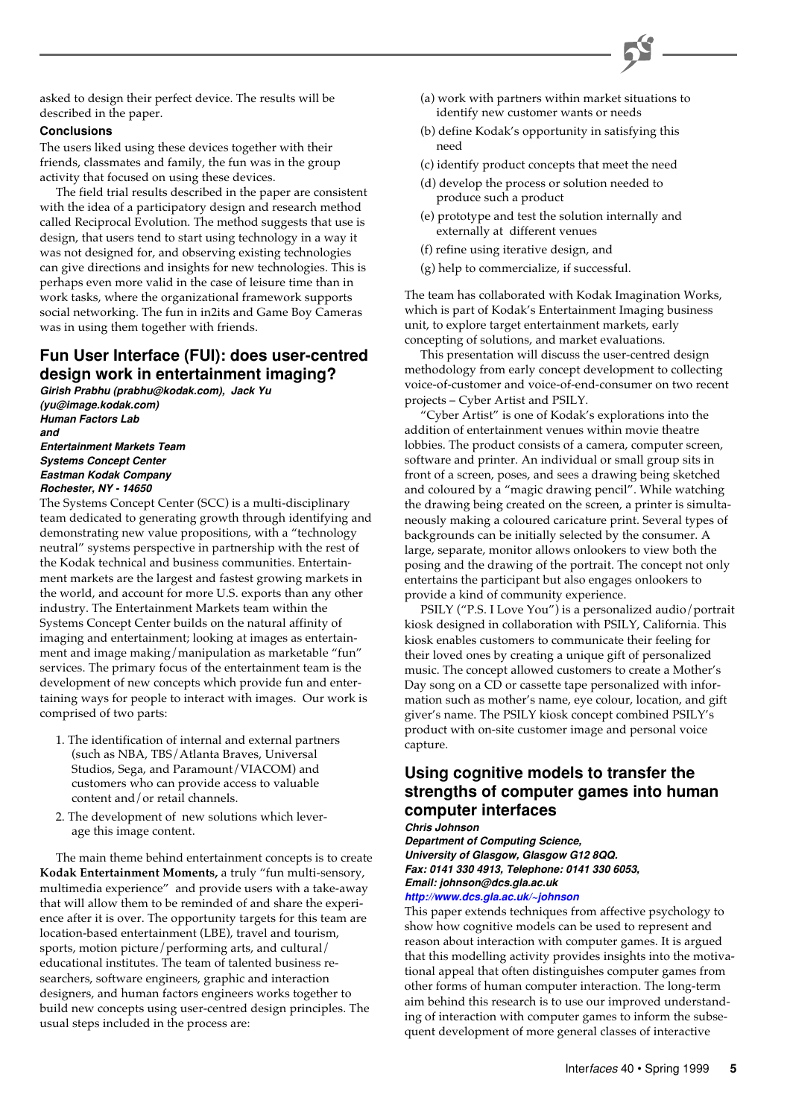

asked to design their perfect device. The results will be described in the paper.

## **Conclusions**

The users liked using these devices together with their friends, classmates and family, the fun was in the group activity that focused on using these devices.

The field trial results described in the paper are consistent with the idea of a participatory design and research method called Reciprocal Evolution. The method suggests that use is design, that users tend to start using technology in a way it was not designed for, and observing existing technologies can give directions and insights for new technologies. This is perhaps even more valid in the case of leisure time than in work tasks, where the organizational framework supports social networking. The fun in in2its and Game Boy Cameras was in using them together with friends.

# **Fun User Interface (FUI): does user-centred design work in entertainment imaging?**

**Girish Prabhu (prabhu@kodak.com), Jack Yu (yu@image.kodak.com) Human Factors Lab and Entertainment Markets Team Systems Concept Center**

**Eastman Kodak Company Rochester, NY - 14650**

The Systems Concept Center (SCC) is a multi-disciplinary team dedicated to generating growth through identifying and demonstrating new value propositions, with a "technology neutral" systems perspective in partnership with the rest of the Kodak technical and business communities. Entertainment markets are the largest and fastest growing markets in the world, and account for more U.S. exports than any other industry. The Entertainment Markets team within the Systems Concept Center builds on the natural affinity of imaging and entertainment; looking at images as entertainment and image making/manipulation as marketable "fun" services. The primary focus of the entertainment team is the development of new concepts which provide fun and entertaining ways for people to interact with images. Our work is comprised of two parts:

- 1. The identification of internal and external partners (such as NBA, TBS/Atlanta Braves, Universal Studios, Sega, and Paramount/VIACOM) and customers who can provide access to valuable content and/or retail channels.
- 2. The development of new solutions which leverage this image content.

The main theme behind entertainment concepts is to create **Kodak Entertainment Moments,** a truly "fun multi-sensory, multimedia experience" and provide users with a take-away that will allow them to be reminded of and share the experience after it is over. The opportunity targets for this team are location-based entertainment (LBE), travel and tourism, sports, motion picture/performing arts, and cultural/ educational institutes. The team of talented business researchers, software engineers, graphic and interaction designers, and human factors engineers works together to build new concepts using user-centred design principles. The usual steps included in the process are:

- (a) work with partners within market situations to identify new customer wants or needs
- (b) define Kodak's opportunity in satisfying this need
- (c) identify product concepts that meet the need
- (d) develop the process or solution needed to produce such a product
- (e) prototype and test the solution internally and externally at different venues
- (f) refine using iterative design, and
- (g) help to commercialize, if successful.

The team has collaborated with Kodak Imagination Works, which is part of Kodak's Entertainment Imaging business unit, to explore target entertainment markets, early concepting of solutions, and market evaluations.

This presentation will discuss the user-centred design methodology from early concept development to collecting voice-of-customer and voice-of-end-consumer on two recent projects – Cyber Artist and PSILY.

"Cyber Artist" is one of Kodak's explorations into the addition of entertainment venues within movie theatre lobbies. The product consists of a camera, computer screen, software and printer. An individual or small group sits in front of a screen, poses, and sees a drawing being sketched and coloured by a "magic drawing pencil". While watching the drawing being created on the screen, a printer is simultaneously making a coloured caricature print. Several types of backgrounds can be initially selected by the consumer. A large, separate, monitor allows onlookers to view both the posing and the drawing of the portrait. The concept not only entertains the participant but also engages onlookers to provide a kind of community experience.

PSILY ("P.S. I Love You") is a personalized audio/portrait kiosk designed in collaboration with PSILY, California. This kiosk enables customers to communicate their feeling for their loved ones by creating a unique gift of personalized music. The concept allowed customers to create a Mother's Day song on a CD or cassette tape personalized with information such as mother's name, eye colour, location, and gift giver's name. The PSILY kiosk concept combined PSILY's product with on-site customer image and personal voice capture.

# **Using cognitive models to transfer the strengths of computer games into human computer interfaces**

**Chris Johnson**

**Department of Computing Science, University of Glasgow, Glasgow G12 8QQ. Fax: 0141 330 4913, Telephone: 0141 330 6053, Email: johnson@dcs.gla.ac.uk**

**<http://www.dcs.gla.ac.uk/~johnson>**

This paper extends techniques from affective psychology to show how cognitive models can be used to represent and reason about interaction with computer games. It is argued that this modelling activity provides insights into the motivational appeal that often distinguishes computer games from other forms of human computer interaction. The long-term aim behind this research is to use our improved understanding of interaction with computer games to inform the subsequent development of more general classes of interactive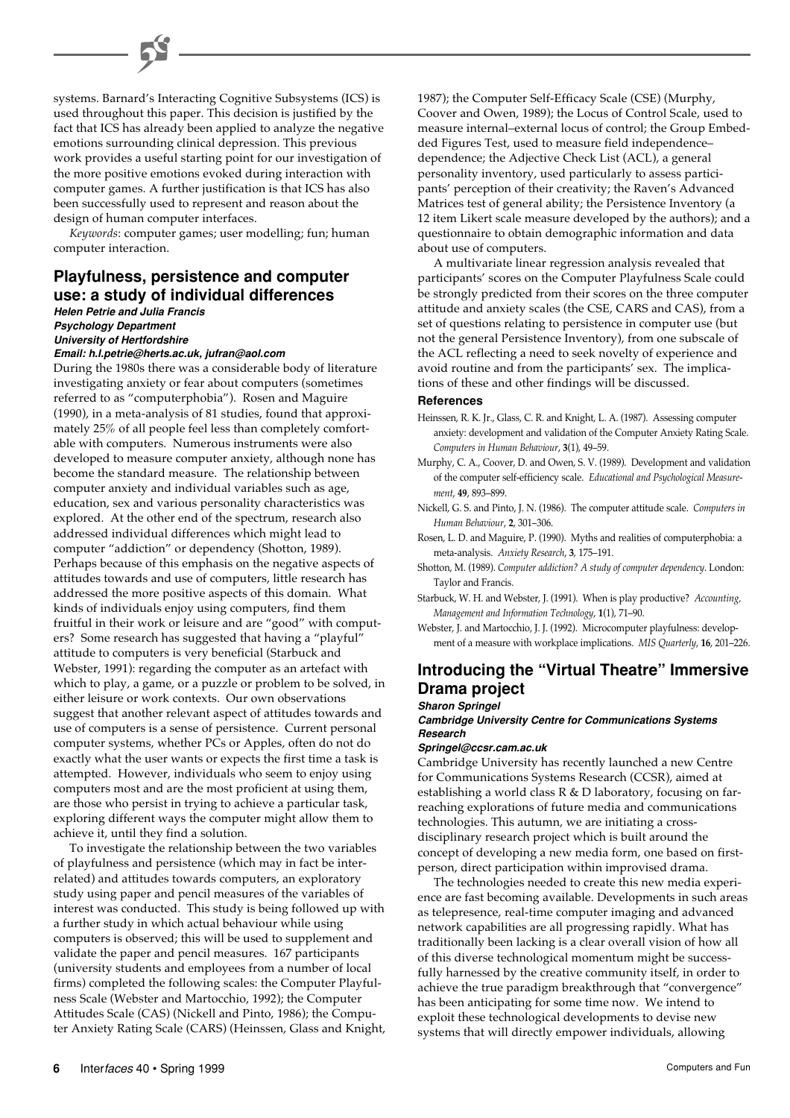systems. Barnard's Interacting Cognitive Subsystems (ICS) is used throughout this paper. This decision is justified by the fact that ICS has already been applied to analyze the negative emotions surrounding clinical depression. This previous work provides a useful starting point for our investigation of the more positive emotions evoked during interaction with computer games. A further justification is that ICS has also been successfully used to represent and reason about the design of human computer interfaces.

*Keywords*: computer games; user modelling; fun; human computer interaction.

# **Playfulness, persistence and computer use: a study of individual differences**

**Helen Petrie and Julia Francis Psychology Department University of Hertfordshire**

#### **Email: h.l.petrie@herts.ac.uk, jufran@aol.com**

During the 1980s there was a considerable body of literature investigating anxiety or fear about computers (sometimes referred to as "computerphobia"). Rosen and Maguire (1990), in a meta-analysis of 81 studies, found that approximately 25% of all people feel less than completely comfortable with computers. Numerous instruments were also developed to measure computer anxiety, although none has become the standard measure. The relationship between computer anxiety and individual variables such as age, education, sex and various personality characteristics was explored. At the other end of the spectrum, research also addressed individual differences which might lead to computer "addiction" or dependency (Shotton, 1989). Perhaps because of this emphasis on the negative aspects of attitudes towards and use of computers, little research has addressed the more positive aspects of this domain. What kinds of individuals enjoy using computers, find them fruitful in their work or leisure and are "good" with computers? Some research has suggested that having a "playful" attitude to computers is very beneficial (Starbuck and Webster, 1991): regarding the computer as an artefact with which to play, a game, or a puzzle or problem to be solved, in either leisure or work contexts. Our own observations suggest that another relevant aspect of attitudes towards and use of computers is a sense of persistence. Current personal computer systems, whether PCs or Apples, often do not do exactly what the user wants or expects the first time a task is attempted. However, individuals who seem to enjoy using computers most and are the most proficient at using them, are those who persist in trying to achieve a particular task, exploring different ways the computer might allow them to achieve it, until they find a solution.

To investigate the relationship between the two variables of playfulness and persistence (which may in fact be interrelated) and attitudes towards computers, an exploratory study using paper and pencil measures of the variables of interest was conducted. This study is being followed up with a further study in which actual behaviour while using computers is observed; this will be used to supplement and validate the paper and pencil measures. 167 participants (university students and employees from a number of local firms) completed the following scales: the Computer Playfulness Scale (Webster and Martocchio, 1992); the Computer Attitudes Scale (CAS) (Nickell and Pinto, 1986); the Computer Anxiety Rating Scale (CARS) (Heinssen, Glass and Knight,

1987); the Computer Self-Efficacy Scale (CSE) (Murphy, Coover and Owen, 1989); the Locus of Control Scale, used to measure internal–external locus of control; the Group Embedded Figures Test, used to measure field independence– dependence; the Adjective Check List (ACL), a general personality inventory, used particularly to assess participants' perception of their creativity; the Raven's Advanced Matrices test of general ability; the Persistence Inventory (a 12 item Likert scale measure developed by the authors); and a questionnaire to obtain demographic information and data about use of computers.

A multivariate linear regression analysis revealed that participants' scores on the Computer Playfulness Scale could be strongly predicted from their scores on the three computer attitude and anxiety scales (the CSE, CARS and CAS), from a set of questions relating to persistence in computer use (but not the general Persistence Inventory), from one subscale of the ACL reflecting a need to seek novelty of experience and avoid routine and from the participants' sex. The implications of these and other findings will be discussed.

#### **References**

- Heinssen, R. K. Jr., Glass, C. R. and Knight, L. A. (1987). Assessing computer anxiety: development and validation of the Computer Anxiety Rating Scale. *Computers in Human Behaviour*, **3**(1), 49–59.
- Murphy, C. A., Coover, D. and Owen, S. V. (1989). Development and validation of the computer self-efficiency scale. *Educational and Psychological Measurement*, **49**, 893–899.
- Nickell, G. S. and Pinto, J. N. (1986). The computer attitude scale. *Computers in Human Behaviour*, **2**, 301–306.
- Rosen, L. D. and Maguire, P. (1990). Myths and realities of computerphobia: a meta-analysis. *Anxiety Research*, **3**, 175–191.
- Shotton, M. (1989). *Computer addiction? A study of computer dependency*. London: Taylor and Francis.
- Starbuck, W. H. and Webster, J. (1991). When is play productive? *Accounting, Management and Information Technology*, **1**(1), 71–90.
- Webster, J. and Martocchio, J. J. (1992). Microcomputer playfulness: development of a measure with workplace implications. *MIS Quarterly*, **16**, 201–226.

# **Introducing the "Virtual Theatre" Immersive Drama project**

#### **Sharon Springel**

#### **Cambridge University Centre for Communications Systems Research**

#### **Springel@ccsr.cam.ac.uk**

Cambridge University has recently launched a new Centre for Communications Systems Research (CCSR), aimed at establishing a world class  $R \& D$  laboratory, focusing on farreaching explorations of future media and communications technologies. This autumn, we are initiating a crossdisciplinary research project which is built around the concept of developing a new media form, one based on firstperson, direct participation within improvised drama.

The technologies needed to create this new media experience are fast becoming available. Developments in such areas as telepresence, real-time computer imaging and advanced network capabilities are all progressing rapidly. What has traditionally been lacking is a clear overall vision of how all of this diverse technological momentum might be successfully harnessed by the creative community itself, in order to achieve the true paradigm breakthrough that "convergence" has been anticipating for some time now. We intend to exploit these technological developments to devise new systems that will directly empower individuals, allowing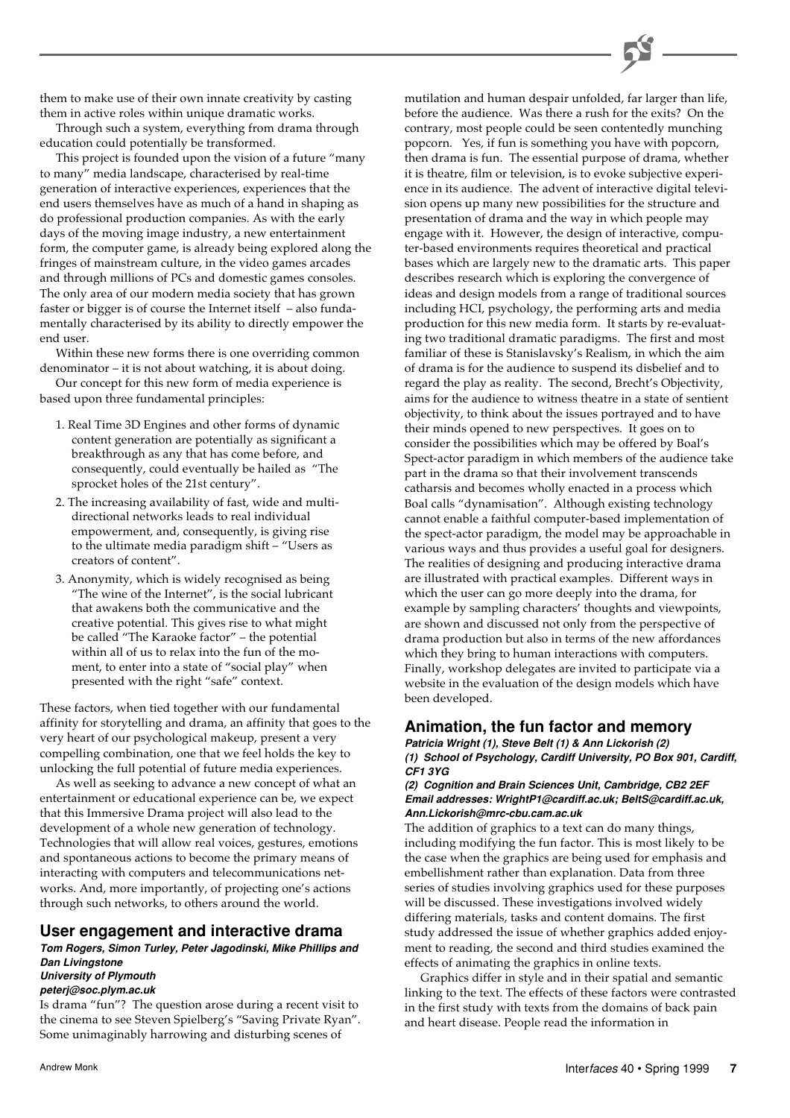them to make use of their own innate creativity by casting them in active roles within unique dramatic works.

Through such a system, everything from drama through education could potentially be transformed.

This project is founded upon the vision of a future "many to many" media landscape, characterised by real-time generation of interactive experiences, experiences that the end users themselves have as much of a hand in shaping as do professional production companies. As with the early days of the moving image industry, a new entertainment form, the computer game, is already being explored along the fringes of mainstream culture, in the video games arcades and through millions of PCs and domestic games consoles. The only area of our modern media society that has grown faster or bigger is of course the Internet itself – also fundamentally characterised by its ability to directly empower the end user.

Within these new forms there is one overriding common denominator – it is not about watching, it is about doing.

Our concept for this new form of media experience is based upon three fundamental principles:

- 1. Real Time 3D Engines and other forms of dynamic content generation are potentially as significant a breakthrough as any that has come before, and consequently, could eventually be hailed as "The sprocket holes of the 21st century".
- 2. The increasing availability of fast, wide and multidirectional networks leads to real individual empowerment, and, consequently, is giving rise to the ultimate media paradigm shift – "Users as creators of content".
- 3. Anonymity, which is widely recognised as being "The wine of the Internet", is the social lubricant that awakens both the communicative and the creative potential. This gives rise to what might be called "The Karaoke factor" – the potential within all of us to relax into the fun of the moment, to enter into a state of "social play" when presented with the right "safe" context.

These factors, when tied together with our fundamental affinity for storytelling and drama, an affinity that goes to the very heart of our psychological makeup, present a very compelling combination, one that we feel holds the key to unlocking the full potential of future media experiences.

As well as seeking to advance a new concept of what an entertainment or educational experience can be, we expect that this Immersive Drama project will also lead to the development of a whole new generation of technology. Technologies that will allow real voices, gestures, emotions and spontaneous actions to become the primary means of interacting with computers and telecommunications networks. And, more importantly, of projecting one's actions through such networks, to others around the world.

## **User engagement and interactive drama**

**Tom Rogers, Simon Turley, Peter Jagodinski, Mike Phillips and Dan Livingstone**

# **University of Plymouth**

**peterj@soc.plym.ac.uk**

Is drama "fun"? The question arose during a recent visit to the cinema to see Steven Spielberg's "Saving Private Ryan". Some unimaginably harrowing and disturbing scenes of

mutilation and human despair unfolded, far larger than life, before the audience. Was there a rush for the exits? On the contrary, most people could be seen contentedly munching popcorn. Yes, if fun is something you have with popcorn, then drama is fun. The essential purpose of drama, whether it is theatre, film or television, is to evoke subjective experience in its audience. The advent of interactive digital television opens up many new possibilities for the structure and presentation of drama and the way in which people may engage with it. However, the design of interactive, computer-based environments requires theoretical and practical bases which are largely new to the dramatic arts. This paper describes research which is exploring the convergence of ideas and design models from a range of traditional sources including HCI, psychology, the performing arts and media production for this new media form. It starts by re-evaluating two traditional dramatic paradigms. The first and most familiar of these is Stanislavsky's Realism, in which the aim of drama is for the audience to suspend its disbelief and to regard the play as reality. The second, Brecht's Objectivity, aims for the audience to witness theatre in a state of sentient objectivity, to think about the issues portrayed and to have their minds opened to new perspectives. It goes on to consider the possibilities which may be offered by Boal's Spect-actor paradigm in which members of the audience take part in the drama so that their involvement transcends catharsis and becomes wholly enacted in a process which Boal calls "dynamisation". Although existing technology cannot enable a faithful computer-based implementation of the spect-actor paradigm, the model may be approachable in various ways and thus provides a useful goal for designers. The realities of designing and producing interactive drama are illustrated with practical examples. Different ways in which the user can go more deeply into the drama, for example by sampling characters' thoughts and viewpoints, are shown and discussed not only from the perspective of drama production but also in terms of the new affordances which they bring to human interactions with computers. Finally, workshop delegates are invited to participate via a website in the evaluation of the design models which have been developed.

# **Animation, the fun factor and memory**

**Patricia Wright (1), Steve Belt (1) & Ann Lickorish (2) (1) School of Psychology, Cardiff University, PO Box 901, Cardiff, CF1 3YG**

#### **(2) Cognition and Brain Sciences Unit, Cambridge, CB2 2EF Email addresses: WrightP1@cardiff.ac.uk; BeltS@cardiff.ac.uk, Ann.Lickorish@mrc-cbu.cam.ac.uk**

The addition of graphics to a text can do many things, including modifying the fun factor. This is most likely to be the case when the graphics are being used for emphasis and embellishment rather than explanation. Data from three series of studies involving graphics used for these purposes will be discussed. These investigations involved widely differing materials, tasks and content domains. The first study addressed the issue of whether graphics added enjoyment to reading, the second and third studies examined the effects of animating the graphics in online texts.

Graphics differ in style and in their spatial and semantic linking to the text. The effects of these factors were contrasted in the first study with texts from the domains of back pain and heart disease. People read the information in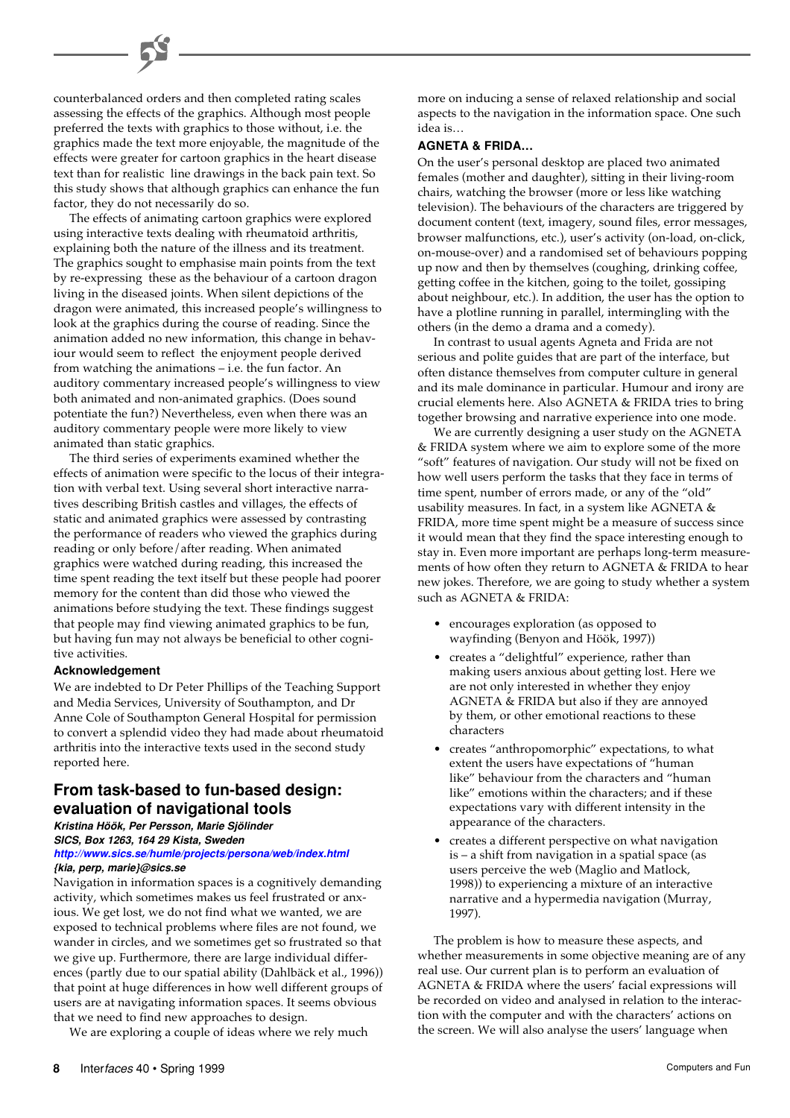counterbalanced orders and then completed rating scales assessing the effects of the graphics. Although most people preferred the texts with graphics to those without, i.e. the graphics made the text more enjoyable, the magnitude of the effects were greater for cartoon graphics in the heart disease text than for realistic line drawings in the back pain text. So this study shows that although graphics can enhance the fun factor, they do not necessarily do so.

The effects of animating cartoon graphics were explored using interactive texts dealing with rheumatoid arthritis, explaining both the nature of the illness and its treatment. The graphics sought to emphasise main points from the text by re-expressing these as the behaviour of a cartoon dragon living in the diseased joints. When silent depictions of the dragon were animated, this increased people's willingness to look at the graphics during the course of reading. Since the animation added no new information, this change in behaviour would seem to reflect the enjoyment people derived from watching the animations – i.e. the fun factor. An auditory commentary increased people's willingness to view both animated and non-animated graphics. (Does sound potentiate the fun?) Nevertheless, even when there was an auditory commentary people were more likely to view animated than static graphics.

The third series of experiments examined whether the effects of animation were specific to the locus of their integration with verbal text. Using several short interactive narratives describing British castles and villages, the effects of static and animated graphics were assessed by contrasting the performance of readers who viewed the graphics during reading or only before/after reading. When animated graphics were watched during reading, this increased the time spent reading the text itself but these people had poorer memory for the content than did those who viewed the animations before studying the text. These findings suggest that people may find viewing animated graphics to be fun, but having fun may not always be beneficial to other cognitive activities.

#### **Acknowledgement**

We are indebted to Dr Peter Phillips of the Teaching Support and Media Services, University of Southampton, and Dr Anne Cole of Southampton General Hospital for permission to convert a splendid video they had made about rheumatoid arthritis into the interactive texts used in the second study reported here.

# **From task-based to fun-based design: evaluation of navigational tools**

#### **Kristina Höök, Per Persson, Marie Sjölinder SICS, Box 1263, 164 29 Kista, Sweden**

#### **<http://www.sics.se/humle/projects/persona/web/index.html> {kia, perp, marie}@sics.se**

Navigation in information spaces is a cognitively demanding activity, which sometimes makes us feel frustrated or anxious. We get lost, we do not find what we wanted, we are exposed to technical problems where files are not found, we wander in circles, and we sometimes get so frustrated so that we give up. Furthermore, there are large individual differences (partly due to our spatial ability (Dahlbäck et al., 1996)) that point at huge differences in how well different groups of users are at navigating information spaces. It seems obvious that we need to find new approaches to design.

We are exploring a couple of ideas where we rely much

more on inducing a sense of relaxed relationship and social aspects to the navigation in the information space. One such idea is…

#### **AGNETA & FRIDA…**

On the user's personal desktop are placed two animated females (mother and daughter), sitting in their living-room chairs, watching the browser (more or less like watching television). The behaviours of the characters are triggered by document content (text, imagery, sound files, error messages, browser malfunctions, etc.), user's activity (on-load, on-click, on-mouse-over) and a randomised set of behaviours popping up now and then by themselves (coughing, drinking coffee, getting coffee in the kitchen, going to the toilet, gossiping about neighbour, etc.). In addition, the user has the option to have a plotline running in parallel, intermingling with the others (in the demo a drama and a comedy).

In contrast to usual agents Agneta and Frida are not serious and polite guides that are part of the interface, but often distance themselves from computer culture in general and its male dominance in particular. Humour and irony are crucial elements here. Also AGNETA & FRIDA tries to bring together browsing and narrative experience into one mode.

We are currently designing a user study on the AGNETA & FRIDA system where we aim to explore some of the more "soft" features of navigation. Our study will not be fixed on how well users perform the tasks that they face in terms of time spent, number of errors made, or any of the "old" usability measures. In fact, in a system like AGNETA & FRIDA, more time spent might be a measure of success since it would mean that they find the space interesting enough to stay in. Even more important are perhaps long-term measurements of how often they return to AGNETA & FRIDA to hear new jokes. Therefore, we are going to study whether a system such as AGNETA & FRIDA:

- encourages exploration (as opposed to wayfinding (Benyon and Höök, 1997))
- creates a "delightful" experience, rather than making users anxious about getting lost. Here we are not only interested in whether they enjoy AGNETA & FRIDA but also if they are annoyed by them, or other emotional reactions to these characters
- creates "anthropomorphic" expectations, to what extent the users have expectations of "human like" behaviour from the characters and "human like" emotions within the characters; and if these expectations vary with different intensity in the appearance of the characters.
- creates a different perspective on what navigation is – a shift from navigation in a spatial space (as users perceive the web (Maglio and Matlock, 1998)) to experiencing a mixture of an interactive narrative and a hypermedia navigation (Murray, 1997).

The problem is how to measure these aspects, and whether measurements in some objective meaning are of any real use. Our current plan is to perform an evaluation of AGNETA & FRIDA where the users' facial expressions will be recorded on video and analysed in relation to the interaction with the computer and with the characters' actions on the screen. We will also analyse the users' language when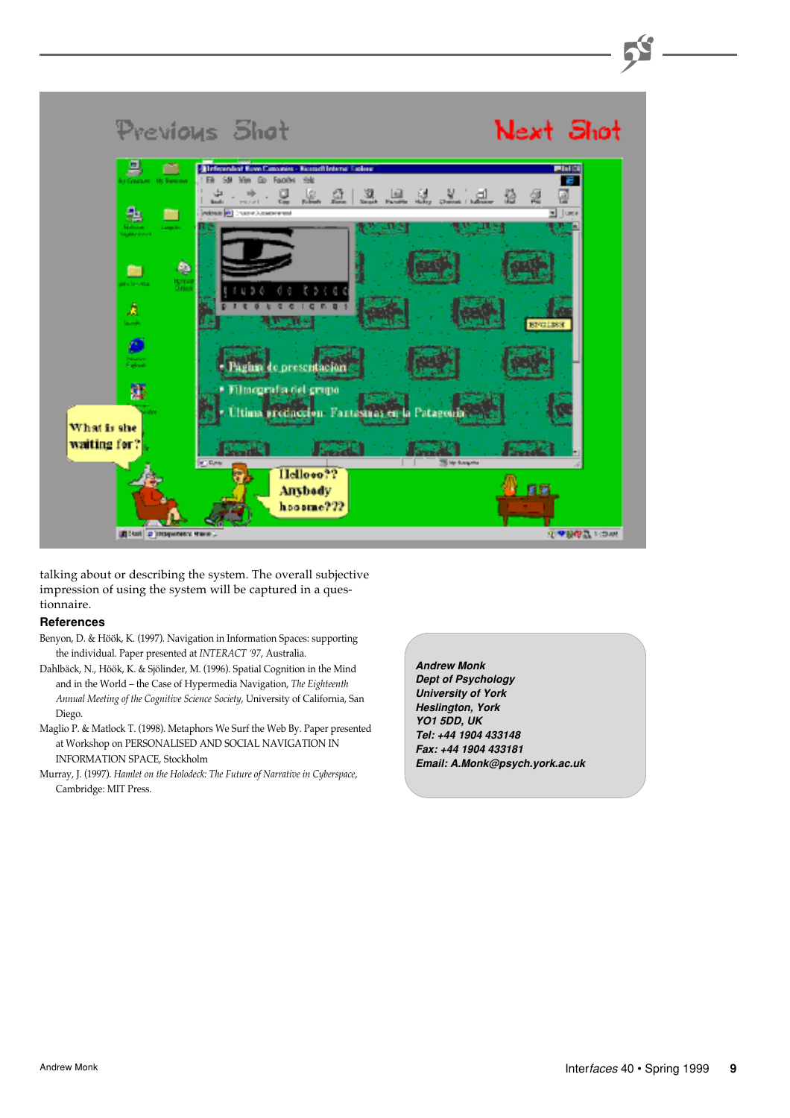

talking about or describing the system. The overall subjective impression of using the system will be captured in a questionnaire.

## **References**

- Benyon, D. & Höök, K. (1997). Navigation in Information Spaces: supporting the individual. Paper presented at *INTERACT '97*, Australia.
- Dahlbäck, N., Höök, K. & Sjölinder, M. (1996). Spatial Cognition in the Mind and in the World – the Case of Hypermedia Navigation, *The Eighteenth Annual Meeting of the Cognitive Science Society*, University of California, San Diego.
- Maglio P. & Matlock T. (1998). Metaphors We Surf the Web By. Paper presented at Workshop on PERSONALISED AND SOCIAL NAVIGATION IN INFORMATION SPACE, Stockholm
- Murray, J. (1997). *Hamlet on the Holodeck: The Future of Narrative in Cyberspace*, Cambridge: MIT Press.

**Andrew Monk Dept of Psychology University of York Heslington, York YO1 5DD, UK Tel: +44 1904 433148 Fax: +44 1904 433181 Email: A.Monk@psych.york.ac.uk**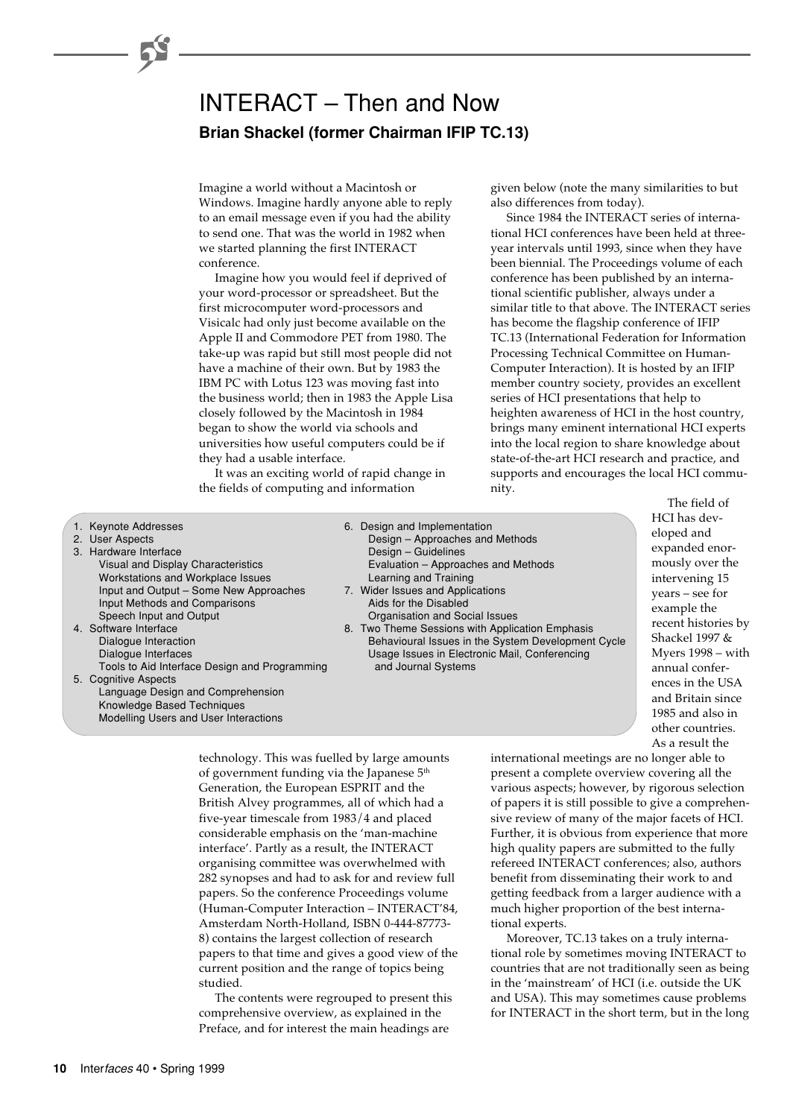# INTERACT – Then and Now **Brian Shackel (former Chairman IFIP TC.13)**

Imagine a world without a Macintosh or Windows. Imagine hardly anyone able to reply to an email message even if you had the ability to send one. That was the world in 1982 when we started planning the first INTERACT conference.

Imagine how you would feel if deprived of your word-processor or spreadsheet. But the first microcomputer word-processors and Visicalc had only just become available on the Apple II and Commodore PET from 1980. The take-up was rapid but still most people did not have a machine of their own. But by 1983 the IBM PC with Lotus 123 was moving fast into the business world; then in 1983 the Apple Lisa closely followed by the Macintosh in 1984 began to show the world via schools and universities how useful computers could be if they had a usable interface.

It was an exciting world of rapid change in the fields of computing and information

given below (note the many similarities to but also differences from today).

Since 1984 the INTERACT series of international HCI conferences have been held at threeyear intervals until 1993, since when they have been biennial. The Proceedings volume of each conference has been published by an international scientific publisher, always under a similar title to that above. The INTERACT series has become the flagship conference of IFIP TC.13 (International Federation for Information Processing Technical Committee on Human-Computer Interaction). It is hosted by an IFIP member country society, provides an excellent series of HCI presentations that help to heighten awareness of HCI in the host country, brings many eminent international HCI experts into the local region to share knowledge about state-of-the-art HCI research and practice, and supports and encourages the local HCI community.

1. Keynote Addresses 6. Design and Implementation 2. User Aspects Design – Approaches and Methods 3. Hardware Interface **Design – Guidelines** Design – Guidelines Visual and Display Characteristics **Evaluation – Approaches and Methods**<br>
Workstations and Workplace Issues<br>
Learning and Training Workstations and Workplace Issues Input and Output – Some New Approaches 7. Wider Issues and Applications<br>Input Methods and Comparisons Aids for the Disabled Input Methods and Comparisons<br>Speech Input and Output Speech Input and Output Content Content Content Content Content Content Content Content Content Content Content Content Content Content Content Content Content Content Content Content Content Content Content Content Conten 8. Two Theme Sessions with Application Emphasis Dialogue Interaction Behavioural Issues in the System Development Cycle Dialogue Interfaces Usage Issues in Electronic Mail, Conferencing Tools to Aid Interface Design and Programming and Journal Systems 5. Cognitive Aspects Language Design and Comprehension Knowledge Based Techniques

The field of HCI has developed and expanded enormously over the intervening 15 years – see for example the recent histories by Shackel 1997 & Myers 1998 – with annual conferences in the USA and Britain since 1985 and also in other countries. As a result the

technology. This was fuelled by large amounts of government funding via the Japanese 5<sup>th</sup> Generation, the European ESPRIT and the British Alvey programmes, all of which had a five-year timescale from 1983/4 and placed considerable emphasis on the 'man-machine interface'. Partly as a result, the INTERACT organising committee was overwhelmed with 282 synopses and had to ask for and review full papers. So the conference Proceedings volume (Human-Computer Interaction – INTERACT'84, Amsterdam North-Holland, ISBN 0-444-87773- 8) contains the largest collection of research papers to that time and gives a good view of the current position and the range of topics being studied.

The contents were regrouped to present this comprehensive overview, as explained in the Preface, and for interest the main headings are

international meetings are no longer able to present a complete overview covering all the various aspects; however, by rigorous selection of papers it is still possible to give a comprehensive review of many of the major facets of HCI. Further, it is obvious from experience that more high quality papers are submitted to the fully refereed INTERACT conferences; also, authors benefit from disseminating their work to and getting feedback from a larger audience with a much higher proportion of the best international experts.

Moreover, TC.13 takes on a truly international role by sometimes moving INTERACT to countries that are not traditionally seen as being in the 'mainstream' of HCI (i.e. outside the UK and USA). This may sometimes cause problems for INTERACT in the short term, but in the long

Modelling Users and User Interactions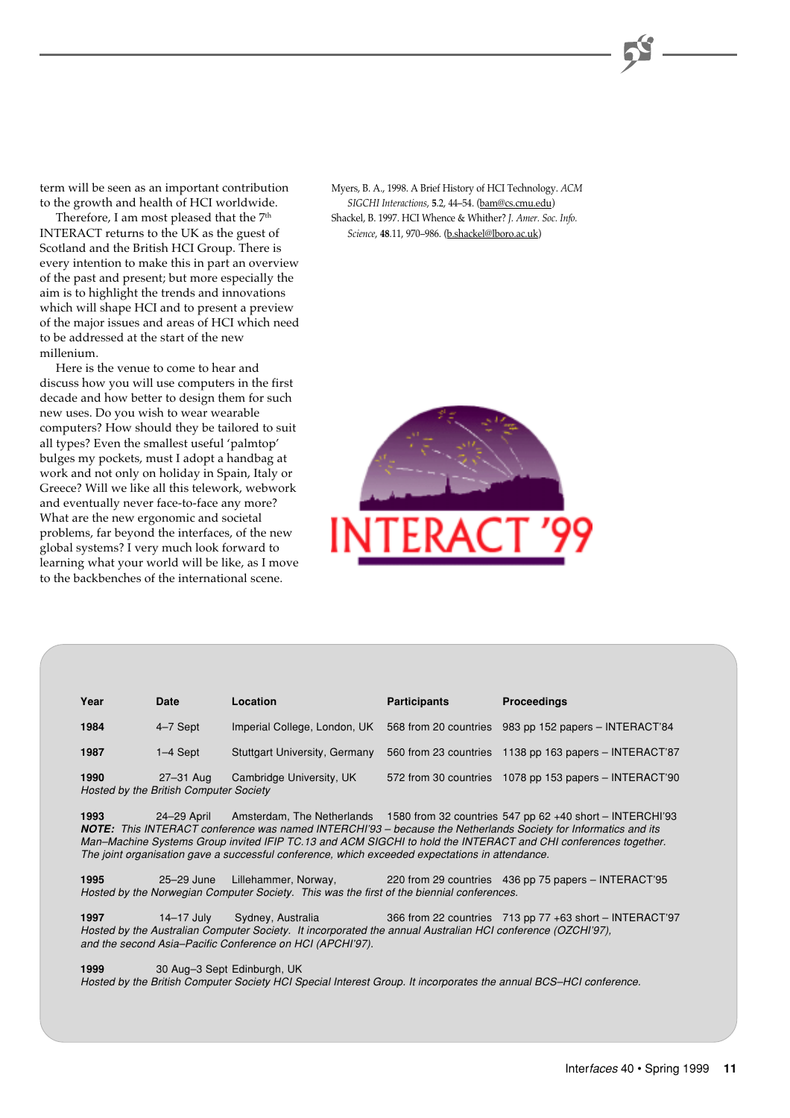term will be seen as an important contribution to the growth and health of HCI worldwide.

Therefore, I am most pleased that the 7<sup>th</sup> INTERACT returns to the UK as the guest of Scotland and the British HCI Group. There is every intention to make this in part an overview of the past and present; but more especially the aim is to highlight the trends and innovations which will shape HCI and to present a preview of the major issues and areas of HCI which need to be addressed at the start of the new millenium.

Here is the venue to come to hear and discuss how you will use computers in the first decade and how better to design them for such new uses. Do you wish to wear wearable computers? How should they be tailored to suit all types? Even the smallest useful 'palmtop' bulges my pockets, must I adopt a handbag at work and not only on holiday in Spain, Italy or Greece? Will we like all this telework, webwork and eventually never face-to-face any more? What are the new ergonomic and societal problems, far beyond the interfaces, of the new global systems? I very much look forward to learning what your world will be like, as I move to the backbenches of the international scene.

Myers, B. A., 1998. A Brief History of HCI Technology. *ACM SIGCHI Interactions*, **5**.2, 44–54. (bam@cs.cmu.edu) Shackel, B. 1997. HCI Whence & Whither? *J. Amer. Soc. Info. Science*, **48**.11, 970–986. (b.shackel@lboro.ac.uk)



| Year | Date                                                | Location                             | <b>Participants</b>   | <b>Proceedings</b>                                     |
|------|-----------------------------------------------------|--------------------------------------|-----------------------|--------------------------------------------------------|
| 1984 | 4-7 Sept                                            | Imperial College, London, UK         |                       | 568 from 20 countries 983 pp 152 papers – INTERACT'84  |
| 1987 | 1-4 Sept                                            | <b>Stuttgart University, Germany</b> |                       | 560 from 23 countries 1138 pp 163 papers - INTERACT'87 |
| 1990 | 27-31 Aug<br>Hosted by the British Computer Society | Cambridge University, UK             | 572 from 30 countries | 1078 pp 153 papers $-$ INTERACT'90                     |

**1993** 24–29 April Amsterdam, The Netherlands 1580 from 32 countries 547 pp 62 +40 short – INTERCHI'93 **NOTE:** This INTERACT conference was named INTERCHI'93 – because the Netherlands Society for Informatics and its Man–Machine Systems Group invited IFIP TC.13 and ACM SIGCHI to hold the INTERACT and CHI conferences together. The joint organisation gave a successful conference, which exceeded expectations in attendance.

**1995** 25–29 June Lillehammer, Norway, 220 from 29 countries 436 pp 75 papers – INTERACT'95 Hosted by the Norwegian Computer Society. This was the first of the biennial conferences.

**1997** 14–17 July Sydney, Australia 366 from 22 countries 713 pp 77 +63 short – INTERACT'97 Hosted by the Australian Computer Society. It incorporated the annual Australian HCI conference (OZCHI'97), and the second Asia–Pacific Conference on HCI (APCHI'97).

**1999** 30 Aug–3 Sept Edinburgh, UK

Hosted by the British Computer Society HCI Special Interest Group. It incorporates the annual BCS–HCI conference.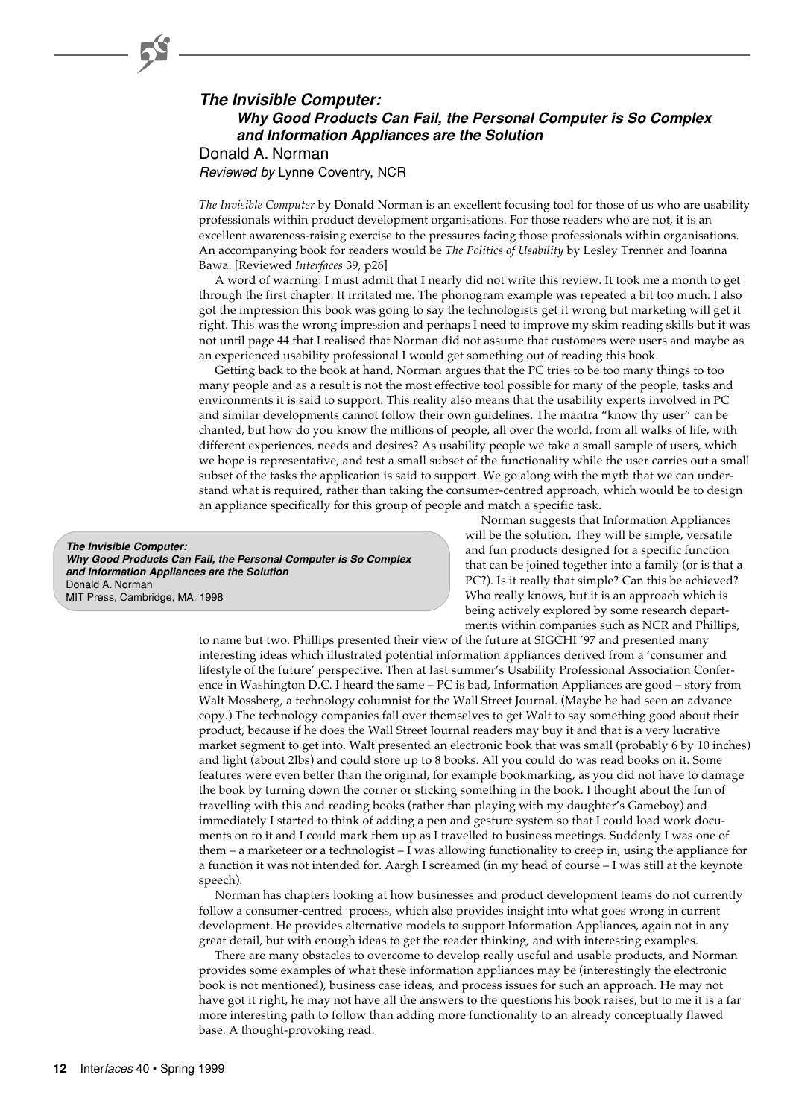# **The Invisible Computer: Why Good Products Can Fail, the Personal Computer is So Complex and Information Appliances are the Solution** Donald A. Norman

Reviewed by Lynne Coventry, NCR

*The Invisible Computer* by Donald Norman is an excellent focusing tool for those of us who are usability professionals within product development organisations. For those readers who are not, it is an excellent awareness-raising exercise to the pressures facing those professionals within organisations. An accompanying book for readers would be *The Politics of Usability* by Lesley Trenner and Joanna Bawa. [Reviewed *Interfaces* 39, p26]

A word of warning: I must admit that I nearly did not write this review. It took me a month to get through the first chapter. It irritated me. The phonogram example was repeated a bit too much. I also got the impression this book was going to say the technologists get it wrong but marketing will get it right. This was the wrong impression and perhaps I need to improve my skim reading skills but it was not until page 44 that I realised that Norman did not assume that customers were users and maybe as an experienced usability professional I would get something out of reading this book.

Getting back to the book at hand, Norman argues that the PC tries to be too many things to too many people and as a result is not the most effective tool possible for many of the people, tasks and environments it is said to support. This reality also means that the usability experts involved in PC and similar developments cannot follow their own guidelines. The mantra "know thy user" can be chanted, but how do you know the millions of people, all over the world, from all walks of life, with different experiences, needs and desires? As usability people we take a small sample of users, which we hope is representative, and test a small subset of the functionality while the user carries out a small subset of the tasks the application is said to support. We go along with the myth that we can understand what is required, rather than taking the consumer-centred approach, which would be to design an appliance specifically for this group of people and match a specific task.

**The Invisible Computer: Why Good Products Can Fail, the Personal Computer is So Complex and Information Appliances are the Solution** Donald A. Norman MIT Press, Cambridge, MA, 1998

Norman suggests that Information Appliances will be the solution. They will be simple, versatile and fun products designed for a specific function that can be joined together into a family (or is that a PC?). Is it really that simple? Can this be achieved? Who really knows, but it is an approach which is being actively explored by some research departments within companies such as NCR and Phillips,

to name but two. Phillips presented their view of the future at SIGCHI '97 and presented many interesting ideas which illustrated potential information appliances derived from a 'consumer and lifestyle of the future' perspective. Then at last summer's Usability Professional Association Conference in Washington D.C. I heard the same – PC is bad, Information Appliances are good – story from Walt Mossberg, a technology columnist for the Wall Street Journal. (Maybe he had seen an advance copy.) The technology companies fall over themselves to get Walt to say something good about their product, because if he does the Wall Street Journal readers may buy it and that is a very lucrative market segment to get into. Walt presented an electronic book that was small (probably 6 by 10 inches) and light (about 2lbs) and could store up to 8 books. All you could do was read books on it. Some features were even better than the original, for example bookmarking, as you did not have to damage the book by turning down the corner or sticking something in the book. I thought about the fun of travelling with this and reading books (rather than playing with my daughter's Gameboy) and immediately I started to think of adding a pen and gesture system so that I could load work documents on to it and I could mark them up as I travelled to business meetings. Suddenly I was one of them – a marketeer or a technologist – I was allowing functionality to creep in, using the appliance for a function it was not intended for. Aargh I screamed (in my head of course – I was still at the keynote speech).

Norman has chapters looking at how businesses and product development teams do not currently follow a consumer-centred process, which also provides insight into what goes wrong in current development. He provides alternative models to support Information Appliances, again not in any great detail, but with enough ideas to get the reader thinking, and with interesting examples.

There are many obstacles to overcome to develop really useful and usable products, and Norman provides some examples of what these information appliances may be (interestingly the electronic book is not mentioned), business case ideas, and process issues for such an approach. He may not have got it right, he may not have all the answers to the questions his book raises, but to me it is a far more interesting path to follow than adding more functionality to an already conceptually flawed base. A thought-provoking read.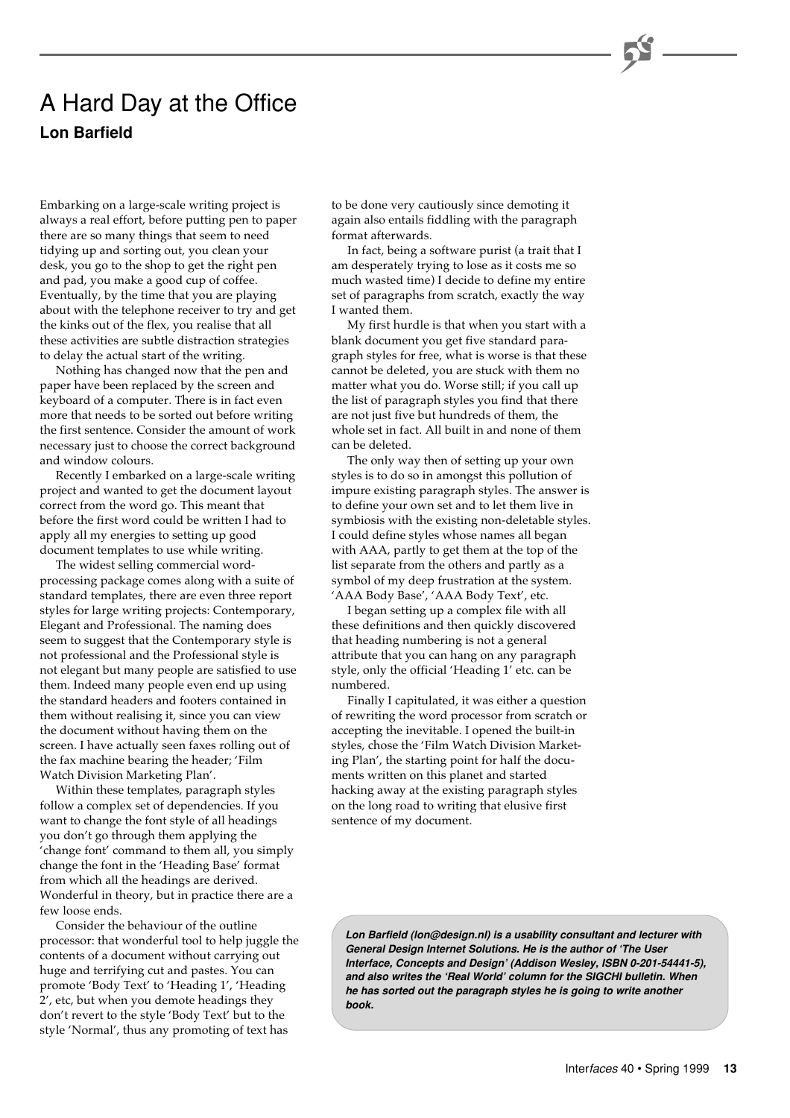# A Hard Day at the Office **Lon Barfield**

Embarking on a large-scale writing project is always a real effort, before putting pen to paper there are so many things that seem to need tidying up and sorting out, you clean your desk, you go to the shop to get the right pen and pad, you make a good cup of coffee. Eventually, by the time that you are playing about with the telephone receiver to try and get the kinks out of the flex, you realise that all these activities are subtle distraction strategies to delay the actual start of the writing.

Nothing has changed now that the pen and paper have been replaced by the screen and keyboard of a computer. There is in fact even more that needs to be sorted out before writing the first sentence. Consider the amount of work necessary just to choose the correct background and window colours.

Recently I embarked on a large-scale writing project and wanted to get the document layout correct from the word go. This meant that before the first word could be written I had to apply all my energies to setting up good document templates to use while writing.

The widest selling commercial wordprocessing package comes along with a suite of standard templates, there are even three report styles for large writing projects: Contemporary, Elegant and Professional. The naming does seem to suggest that the Contemporary style is not professional and the Professional style is not elegant but many people are satisfied to use them. Indeed many people even end up using the standard headers and footers contained in them without realising it, since you can view the document without having them on the screen. I have actually seen faxes rolling out of the fax machine bearing the header; 'Film Watch Division Marketing Plan'.

Within these templates, paragraph styles follow a complex set of dependencies. If you want to change the font style of all headings you don't go through them applying the 'change font' command to them all, you simply change the font in the 'Heading Base' format from which all the headings are derived. Wonderful in theory, but in practice there are a few loose ends.

Consider the behaviour of the outline processor: that wonderful tool to help juggle the contents of a document without carrying out huge and terrifying cut and pastes. You can promote 'Body Text' to 'Heading 1', 'Heading 2', etc, but when you demote headings they don't revert to the style 'Body Text' but to the style 'Normal', thus any promoting of text has

to be done very cautiously since demoting it again also entails fiddling with the paragraph format afterwards.

In fact, being a software purist (a trait that I am desperately trying to lose as it costs me so much wasted time) I decide to define my entire set of paragraphs from scratch, exactly the way I wanted them.

My first hurdle is that when you start with a blank document you get five standard paragraph styles for free, what is worse is that these cannot be deleted, you are stuck with them no matter what you do. Worse still; if you call up the list of paragraph styles you find that there are not just five but hundreds of them, the whole set in fact. All built in and none of them can be deleted.

The only way then of setting up your own styles is to do so in amongst this pollution of impure existing paragraph styles. The answer is to define your own set and to let them live in symbiosis with the existing non-deletable styles. I could define styles whose names all began with AAA, partly to get them at the top of the list separate from the others and partly as a symbol of my deep frustration at the system. 'AAA Body Base', 'AAA Body Text', etc.

I began setting up a complex file with all these definitions and then quickly discovered that heading numbering is not a general attribute that you can hang on any paragraph style, only the official 'Heading 1' etc. can be numbered.

Finally I capitulated, it was either a question of rewriting the word processor from scratch or accepting the inevitable. I opened the built-in styles, chose the 'Film Watch Division Marketing Plan', the starting point for half the documents written on this planet and started hacking away at the existing paragraph styles on the long road to writing that elusive first sentence of my document.

**Lon Barfield (lon@design.nl) is a usability consultant and lecturer with General Design Internet Solutions. He is the author of 'The User Interface, Concepts and Design' (Addison Wesley, ISBN 0-201-54441-5), and also writes the 'Real World' column for the SIGCHI bulletin. When he has sorted out the paragraph styles he is going to write another book.**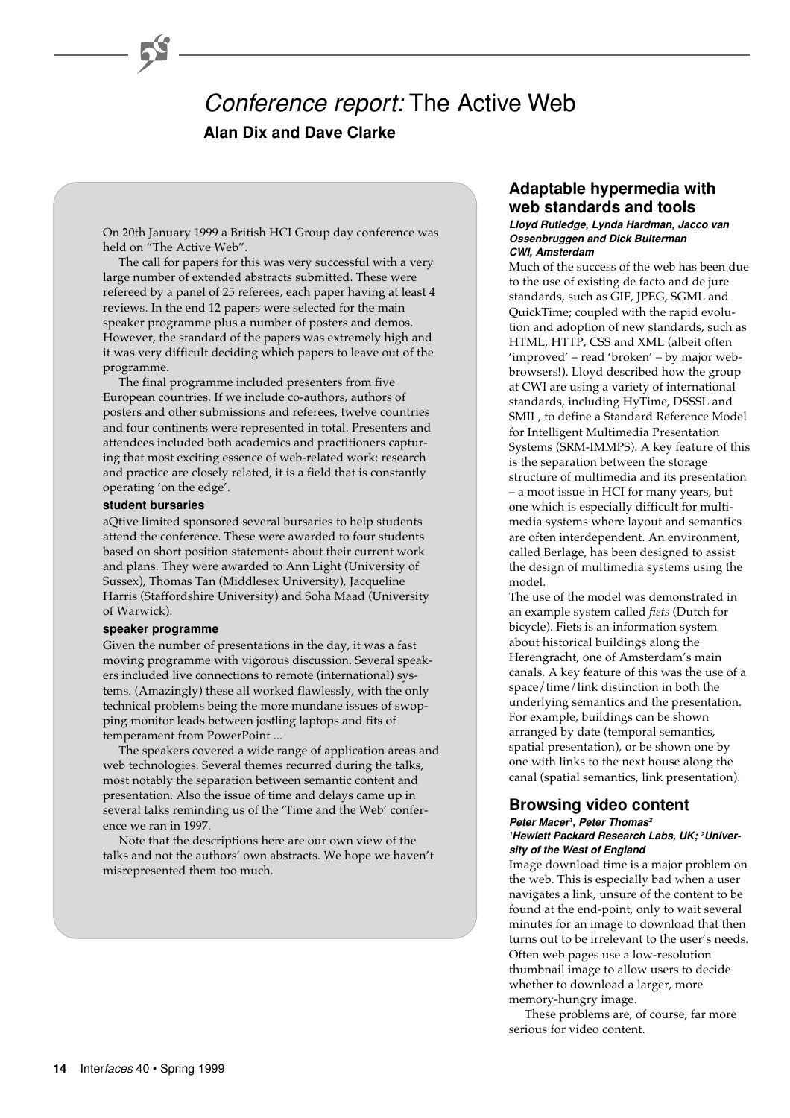# Conference report: The Active Web **Alan Dix and Dave Clarke**

On 20th January 1999 a British HCI Group day conference was held on "The Active Web".

The call for papers for this was very successful with a very large number of extended abstracts submitted. These were refereed by a panel of 25 referees, each paper having at least 4 reviews. In the end 12 papers were selected for the main speaker programme plus a number of posters and demos. However, the standard of the papers was extremely high and it was very difficult deciding which papers to leave out of the programme.

The final programme included presenters from five European countries. If we include co-authors, authors of posters and other submissions and referees, twelve countries and four continents were represented in total. Presenters and attendees included both academics and practitioners capturing that most exciting essence of web-related work: research and practice are closely related, it is a field that is constantly operating 'on the edge'.

#### **student bursaries**

aQtive limited sponsored several bursaries to help students attend the conference. These were awarded to four students based on short position statements about their current work and plans. They were awarded to Ann Light (University of Sussex), Thomas Tan (Middlesex University), Jacqueline Harris (Staffordshire University) and Soha Maad (University of Warwick).

#### **speaker programme**

Given the number of presentations in the day, it was a fast moving programme with vigorous discussion. Several speakers included live connections to remote (international) systems. (Amazingly) these all worked flawlessly, with the only technical problems being the more mundane issues of swopping monitor leads between jostling laptops and fits of temperament from PowerPoint ...

The speakers covered a wide range of application areas and web technologies. Several themes recurred during the talks, most notably the separation between semantic content and presentation. Also the issue of time and delays came up in several talks reminding us of the 'Time and the Web' conference we ran in 1997.

Note that the descriptions here are our own view of the talks and not the authors' own abstracts. We hope we haven't misrepresented them too much.

# **Adaptable hypermedia with web standards and tools**

## **Lloyd Rutledge, Lynda Hardman, Jacco van Ossenbruggen and Dick Bulterman CWI, Amsterdam**

Much of the success of the web has been due to the use of existing de facto and de jure standards, such as GIF, JPEG, SGML and QuickTime; coupled with the rapid evolution and adoption of new standards, such as HTML, HTTP, CSS and XML (albeit often 'improved' – read 'broken' – by major webbrowsers!). Lloyd described how the group at CWI are using a variety of international standards, including HyTime, DSSSL and SMIL, to define a Standard Reference Model for Intelligent Multimedia Presentation Systems (SRM-IMMPS). A key feature of this is the separation between the storage structure of multimedia and its presentation – a moot issue in HCI for many years, but one which is especially difficult for multimedia systems where layout and semantics are often interdependent. An environment, called Berlage, has been designed to assist the design of multimedia systems using the model.

The use of the model was demonstrated in an example system called *fiets* (Dutch for bicycle). Fiets is an information system about historical buildings along the Herengracht, one of Amsterdam's main canals. A key feature of this was the use of a space/time/link distinction in both the underlying semantics and the presentation. For example, buildings can be shown arranged by date (temporal semantics, spatial presentation), or be shown one by one with links to the next house along the canal (spatial semantics, link presentation).

# **Browsing video content**

#### **Peter Macer<sup>1</sup>, Peter Thomas<sup>2</sup> 1Hewlett Packard Research Labs, UK; 2University of the West of England**

Image download time is a major problem on the web. This is especially bad when a user navigates a link, unsure of the content to be found at the end-point, only to wait several minutes for an image to download that then turns out to be irrelevant to the user's needs. Often web pages use a low-resolution thumbnail image to allow users to decide whether to download a larger, more memory-hungry image.

These problems are, of course, far more serious for video content.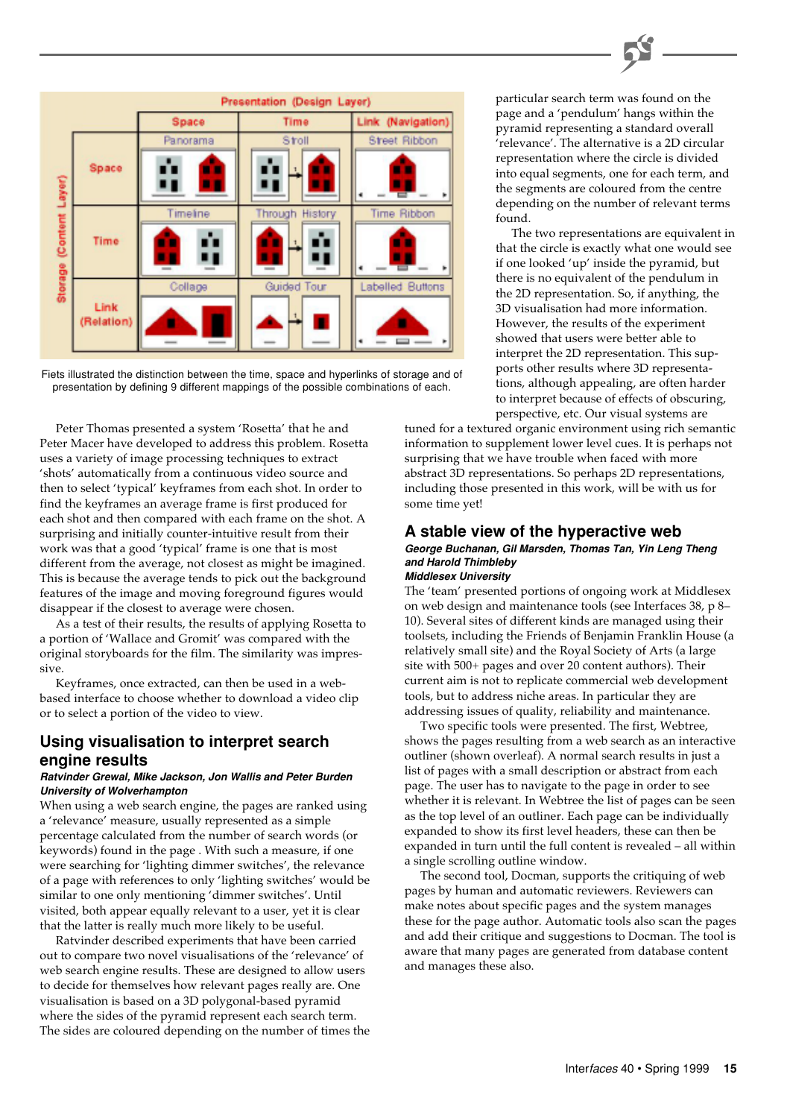



Peter Thomas presented a system 'Rosetta' that he and Peter Macer have developed to address this problem. Rosetta uses a variety of image processing techniques to extract 'shots' automatically from a continuous video source and then to select 'typical' keyframes from each shot. In order to find the keyframes an average frame is first produced for each shot and then compared with each frame on the shot. A surprising and initially counter-intuitive result from their work was that a good 'typical' frame is one that is most different from the average, not closest as might be imagined. This is because the average tends to pick out the background features of the image and moving foreground figures would disappear if the closest to average were chosen.

As a test of their results, the results of applying Rosetta to a portion of 'Wallace and Gromit' was compared with the original storyboards for the film. The similarity was impressive.

Keyframes, once extracted, can then be used in a webbased interface to choose whether to download a video clip or to select a portion of the video to view.

# **Using visualisation to interpret search engine results**

#### **Ratvinder Grewal, Mike Jackson, Jon Wallis and Peter Burden University of Wolverhampton**

When using a web search engine, the pages are ranked using a 'relevance' measure, usually represented as a simple percentage calculated from the number of search words (or keywords) found in the page . With such a measure, if one were searching for 'lighting dimmer switches', the relevance of a page with references to only 'lighting switches' would be similar to one only mentioning 'dimmer switches'. Until visited, both appear equally relevant to a user, yet it is clear that the latter is really much more likely to be useful.

Ratvinder described experiments that have been carried out to compare two novel visualisations of the 'relevance' of web search engine results. These are designed to allow users to decide for themselves how relevant pages really are. One visualisation is based on a 3D polygonal-based pyramid where the sides of the pyramid represent each search term. The sides are coloured depending on the number of times the particular search term was found on the page and a 'pendulum' hangs within the pyramid representing a standard overall 'relevance'. The alternative is a 2D circular representation where the circle is divided into equal segments, one for each term, and the segments are coloured from the centre depending on the number of relevant terms found.

The two representations are equivalent in that the circle is exactly what one would see if one looked 'up' inside the pyramid, but there is no equivalent of the pendulum in the 2D representation. So, if anything, the 3D visualisation had more information. However, the results of the experiment showed that users were better able to interpret the 2D representation. This supports other results where 3D representations, although appealing, are often harder to interpret because of effects of obscuring, perspective, etc. Our visual systems are

tuned for a textured organic environment using rich semantic information to supplement lower level cues. It is perhaps not surprising that we have trouble when faced with more abstract 3D representations. So perhaps 2D representations, including those presented in this work, will be with us for some time yet!

# **A stable view of the hyperactive web**

#### **George Buchanan, Gil Marsden, Thomas Tan, Yin Leng Theng and Harold Thimbleby Middlesex University**

The 'team' presented portions of ongoing work at Middlesex on web design and maintenance tools (see Interfaces 38, p 8– 10). Several sites of different kinds are managed using their toolsets, including the Friends of Benjamin Franklin House (a relatively small site) and the Royal Society of Arts (a large site with 500+ pages and over 20 content authors). Their current aim is not to replicate commercial web development tools, but to address niche areas. In particular they are addressing issues of quality, reliability and maintenance.

Two specific tools were presented. The first, Webtree, shows the pages resulting from a web search as an interactive outliner (shown overleaf). A normal search results in just a list of pages with a small description or abstract from each page. The user has to navigate to the page in order to see whether it is relevant. In Webtree the list of pages can be seen as the top level of an outliner. Each page can be individually expanded to show its first level headers, these can then be expanded in turn until the full content is revealed – all within a single scrolling outline window.

The second tool, Docman, supports the critiquing of web pages by human and automatic reviewers. Reviewers can make notes about specific pages and the system manages these for the page author. Automatic tools also scan the pages and add their critique and suggestions to Docman. The tool is aware that many pages are generated from database content and manages these also.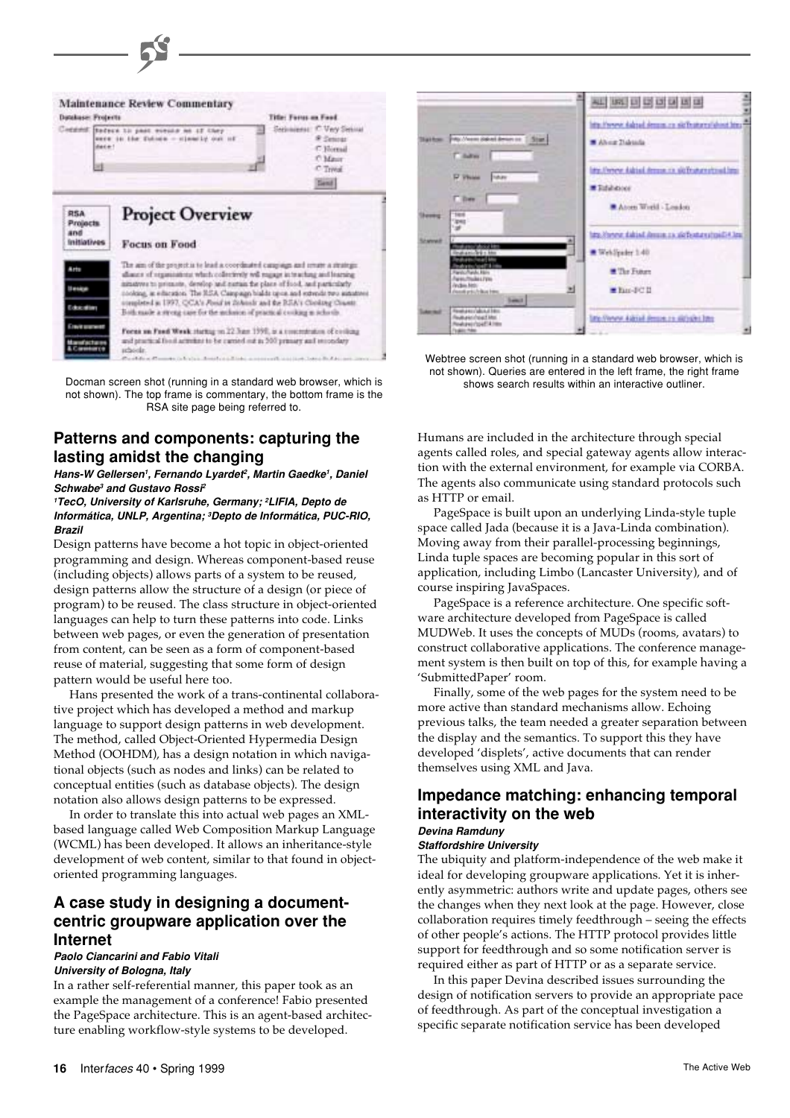

Docman screen shot (running in a standard web browser, which is not shown). The top frame is commentary, the bottom frame is the RSA site page being referred to.

# **Patterns and components: capturing the lasting amidst the changing**

**Hans-W Gellersen<sup>1</sup>, Fernando Lyardet<sup>2</sup>, Martin Gaedke<sup>1</sup>, Daniel Schwabe<sup>3</sup> and Gustavo Rossi<sup>2</sup>**

**<sup>1</sup>TecO, University of Karlsruhe, Germany; <sup>2</sup>LIFIA, Depto de Informática, UNLP, Argentina; <sup>3</sup>Depto de Informática, PUC-RIO, Brazil**

Design patterns have become a hot topic in object-oriented programming and design. Whereas component-based reuse (including objects) allows parts of a system to be reused, design patterns allow the structure of a design (or piece of program) to be reused. The class structure in object-oriented languages can help to turn these patterns into code. Links between web pages, or even the generation of presentation from content, can be seen as a form of component-based reuse of material, suggesting that some form of design pattern would be useful here too.

Hans presented the work of a trans-continental collaborative project which has developed a method and markup language to support design patterns in web development. The method, called Object-Oriented Hypermedia Design Method (OOHDM), has a design notation in which navigational objects (such as nodes and links) can be related to conceptual entities (such as database objects). The design notation also allows design patterns to be expressed.

In order to translate this into actual web pages an XMLbased language called Web Composition Markup Language (WCML) has been developed. It allows an inheritance-style development of web content, similar to that found in objectoriented programming languages.

# **A case study in designing a documentcentric groupware application over the Internet**

#### **Paolo Ciancarini and Fabio Vitali University of Bologna, Italy**

In a rather self-referential manner, this paper took as an example the management of a conference! Fabio presented the PageSpace architecture. This is an agent-based architecture enabling workflow-style systems to be developed.



Webtree screen shot (running in a standard web browser, which is not shown). Queries are entered in the left frame, the right frame shows search results within an interactive outliner.

Humans are included in the architecture through special agents called roles, and special gateway agents allow interaction with the external environment, for example via CORBA. The agents also communicate using standard protocols such as HTTP or email.

PageSpace is built upon an underlying Linda-style tuple space called Jada (because it is a Java-Linda combination). Moving away from their parallel-processing beginnings, Linda tuple spaces are becoming popular in this sort of application, including Limbo (Lancaster University), and of course inspiring JavaSpaces.

PageSpace is a reference architecture. One specific software architecture developed from PageSpace is called MUDWeb. It uses the concepts of MUDs (rooms, avatars) to construct collaborative applications. The conference management system is then built on top of this, for example having a 'SubmittedPaper' room.

Finally, some of the web pages for the system need to be more active than standard mechanisms allow. Echoing previous talks, the team needed a greater separation between the display and the semantics. To support this they have developed 'displets', active documents that can render themselves using XML and Java.

# **Impedance matching: enhancing temporal interactivity on the web Devina Ramduny**

## **Staffordshire University**

The ubiquity and platform-independence of the web make it ideal for developing groupware applications. Yet it is inherently asymmetric: authors write and update pages, others see the changes when they next look at the page. However, close collaboration requires timely feedthrough – seeing the effects of other people's actions. The HTTP protocol provides little support for feedthrough and so some notification server is required either as part of HTTP or as a separate service.

In this paper Devina described issues surrounding the design of notification servers to provide an appropriate pace of feedthrough. As part of the conceptual investigation a specific separate notification service has been developed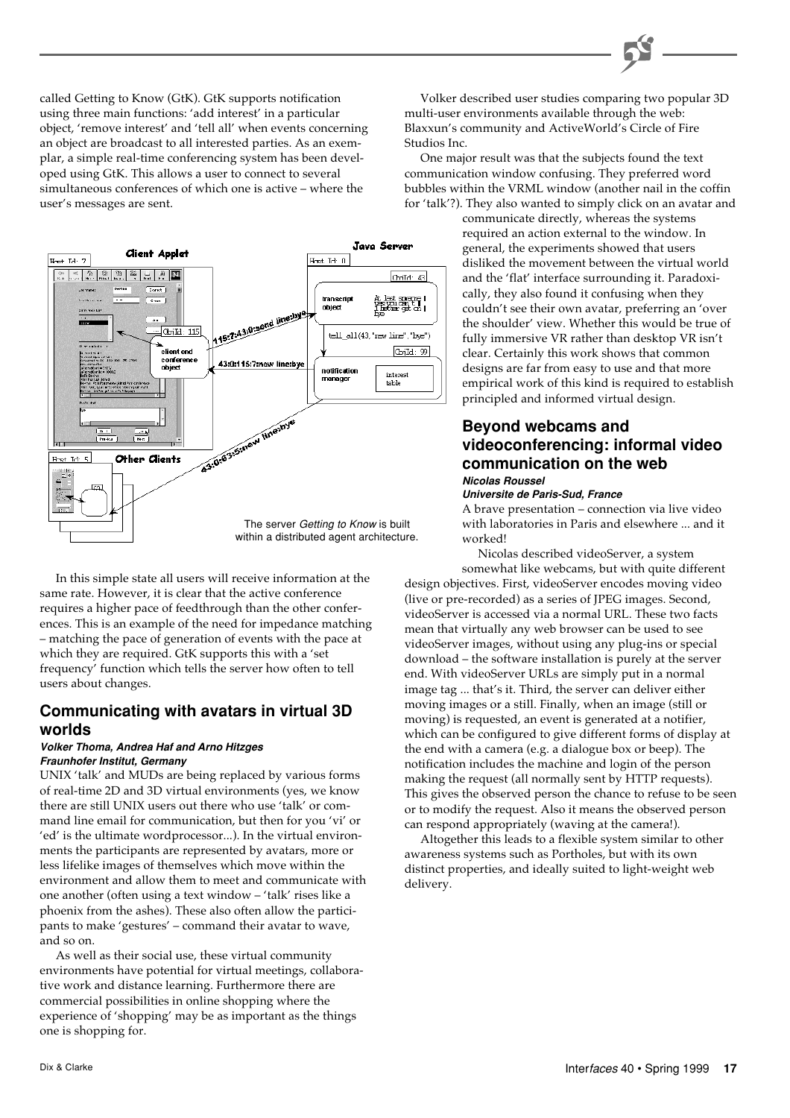called Getting to Know (GtK). GtK supports notification using three main functions: 'add interest' in a particular object, 'remove interest' and 'tell all' when events concerning an object are broadcast to all interested parties. As an exemplar, a simple real-time conferencing system has been developed using GtK. This allows a user to connect to several simultaneous conferences of which one is active – where the user's messages are sent.



In this simple state all users will receive information at the same rate. However, it is clear that the active conference requires a higher pace of feedthrough than the other conferences. This is an example of the need for impedance matching – matching the pace of generation of events with the pace at which they are required. GtK supports this with a 'set frequency' function which tells the server how often to tell users about changes.

# **Communicating with avatars in virtual 3D worlds**

## **Volker Thoma, Andrea Haf and Arno Hitzges Fraunhofer Institut, Germany**

UNIX 'talk' and MUDs are being replaced by various forms of real-time 2D and 3D virtual environments (yes, we know there are still UNIX users out there who use 'talk' or command line email for communication, but then for you 'vi' or 'ed' is the ultimate wordprocessor...). In the virtual environments the participants are represented by avatars, more or less lifelike images of themselves which move within the environment and allow them to meet and communicate with one another (often using a text window – 'talk' rises like a phoenix from the ashes). These also often allow the participants to make 'gestures' – command their avatar to wave, and so on.

As well as their social use, these virtual community environments have potential for virtual meetings, collaborative work and distance learning. Furthermore there are commercial possibilities in online shopping where the experience of 'shopping' may be as important as the things one is shopping for.

Volker described user studies comparing two popular 3D multi-user environments available through the web: Blaxxun's community and ActiveWorld's Circle of Fire Studios Inc.

One major result was that the subjects found the text communication window confusing. They preferred word bubbles within the VRML window (another nail in the coffin for 'talk'?). They also wanted to simply click on an avatar and

> communicate directly, whereas the systems required an action external to the window. In general, the experiments showed that users disliked the movement between the virtual world and the 'flat' interface surrounding it. Paradoxically, they also found it confusing when they couldn't see their own avatar, preferring an 'over the shoulder' view. Whether this would be true of fully immersive VR rather than desktop VR isn't clear. Certainly this work shows that common designs are far from easy to use and that more empirical work of this kind is required to establish principled and informed virtual design.

# **Beyond webcams and videoconferencing: informal video communication on the web Nicolas Roussel**

#### **Universite de Paris-Sud, France**

A brave presentation – connection via live video with laboratories in Paris and elsewhere ... and it worked!

Nicolas described videoServer, a system somewhat like webcams, but with quite different design objectives. First, videoServer encodes moving video (live or pre-recorded) as a series of JPEG images. Second, videoServer is accessed via a normal URL. These two facts mean that virtually any web browser can be used to see videoServer images, without using any plug-ins or special download – the software installation is purely at the server end. With videoServer URLs are simply put in a normal image tag ... that's it. Third, the server can deliver either moving images or a still. Finally, when an image (still or moving) is requested, an event is generated at a notifier, which can be configured to give different forms of display at the end with a camera (e.g. a dialogue box or beep). The notification includes the machine and login of the person making the request (all normally sent by HTTP requests). This gives the observed person the chance to refuse to be seen or to modify the request. Also it means the observed person can respond appropriately (waving at the camera!).

Altogether this leads to a flexible system similar to other awareness systems such as Portholes, but with its own distinct properties, and ideally suited to light-weight web delivery.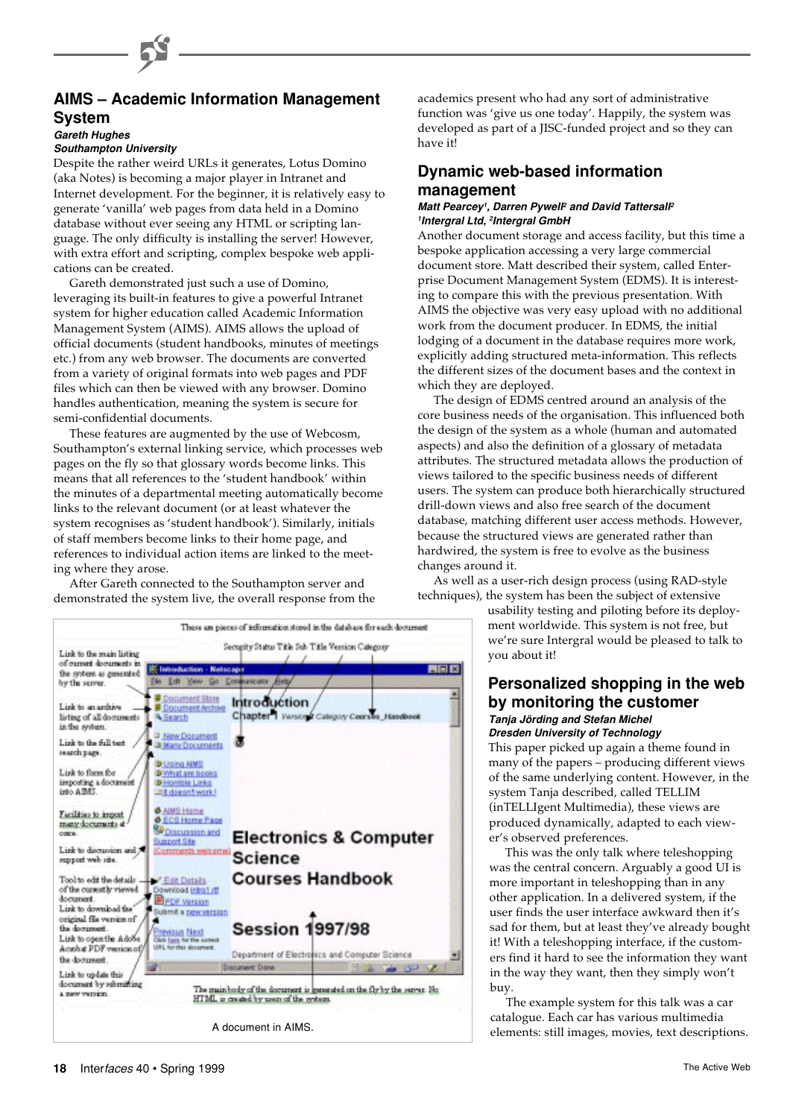# **AIMS – Academic Information Management System**

#### **Gareth Hughes Southampton University**

Despite the rather weird URLs it generates, Lotus Domino (aka Notes) is becoming a major player in Intranet and Internet development. For the beginner, it is relatively easy to generate 'vanilla' web pages from data held in a Domino database without ever seeing any HTML or scripting language. The only difficulty is installing the server! However, with extra effort and scripting, complex bespoke web applications can be created.

Gareth demonstrated just such a use of Domino, leveraging its built-in features to give a powerful Intranet system for higher education called Academic Information Management System (AIMS). AIMS allows the upload of official documents (student handbooks, minutes of meetings etc.) from any web browser. The documents are converted from a variety of original formats into web pages and PDF files which can then be viewed with any browser. Domino handles authentication, meaning the system is secure for semi-confidential documents.

These features are augmented by the use of Webcosm, Southampton's external linking service, which processes web pages on the fly so that glossary words become links. This means that all references to the 'student handbook' within the minutes of a departmental meeting automatically become links to the relevant document (or at least whatever the system recognises as 'student handbook'). Similarly, initials of staff members become links to their home page, and references to individual action items are linked to the meeting where they arose.

After Gareth connected to the Southampton server and demonstrated the system live, the overall response from the

These am pieces of information stored in the database for each document Security Status Title Sub-Title Version Category Link to the main listing of current documents in  $-101x$ the system as generated the Edit View Go by the server. 医 Document Store Introduction Link to an archive Document Archive Chapter 1 Version Category Courses Handbook listing of all documents **A Bearch** in the system. 3 New Document Link to the full text **J Many Documents** search page. **D** Using AIMS Link to form the **D** What are books importing a document **D** Homible Links **Sait doesn't work!** & AMS Home Facilities to import **O** ECS Home Page many documents a **SP Discussion and Electronics & Computer** Support Site Link to discussion and 7 Comments welcon **Science** repport web rite. **Courses Handbook** Tool to edit the details  $P$  Edit Datails of the currently viewed wnload introfut **Repr** Version document. Link to download the Submit a new version original file version of **Session 1997/98** the document **Indus** Next Link to open the Adobe Click has for the come<br>Click has for the come<br>URL for this document Acabat PDF version of Department of Electronics and Computer Science the document re Done Link to undate this document by rehending The main body of the document is generated on the fly by the server. He HTML is created by users of the gystem a new version.

academics present who had any sort of administrative function was 'give us one today'. Happily, the system was developed as part of a JISC-funded project and so they can have it!

# **Dynamic web-based information management**

#### **Matt Pearcey<sup>1</sup>, Darren Pywell<sup>2</sup> and David Tattersall<sup>2</sup> <sup>1</sup>Intergral Ltd, <sup>2</sup>Intergral GmbH**

Another document storage and access facility, but this time a bespoke application accessing a very large commercial document store. Matt described their system, called Enterprise Document Management System (EDMS). It is interesting to compare this with the previous presentation. With AIMS the objective was very easy upload with no additional work from the document producer. In EDMS, the initial lodging of a document in the database requires more work, explicitly adding structured meta-information. This reflects the different sizes of the document bases and the context in which they are deployed.

The design of EDMS centred around an analysis of the core business needs of the organisation. This influenced both the design of the system as a whole (human and automated aspects) and also the definition of a glossary of metadata attributes. The structured metadata allows the production of views tailored to the specific business needs of different users. The system can produce both hierarchically structured drill-down views and also free search of the document database, matching different user access methods. However, because the structured views are generated rather than hardwired, the system is free to evolve as the business changes around it.

As well as a user-rich design process (using RAD-style techniques), the system has been the subject of extensive

usability testing and piloting before its deployment worldwide. This system is not free, but we're sure Intergral would be pleased to talk to you about it!

# **Personalized shopping in the web by monitoring the customer Tanja Jörding and Stefan Michel Dresden University of Technology**

This paper picked up again a theme found in many of the papers – producing different views of the same underlying content. However, in the system Tanja described, called TELLIM (inTELLIgent Multimedia), these views are produced dynamically, adapted to each viewer's observed preferences.

This was the only talk where teleshopping was the central concern. Arguably a good UI is more important in teleshopping than in any other application. In a delivered system, if the user finds the user interface awkward then it's sad for them, but at least they've already bought it! With a teleshopping interface, if the customers find it hard to see the information they want in the way they want, then they simply won't buy.

The example system for this talk was a car catalogue. Each car has various multimedia A document in AIMS.<br>
elements: still images, movies, text descriptions.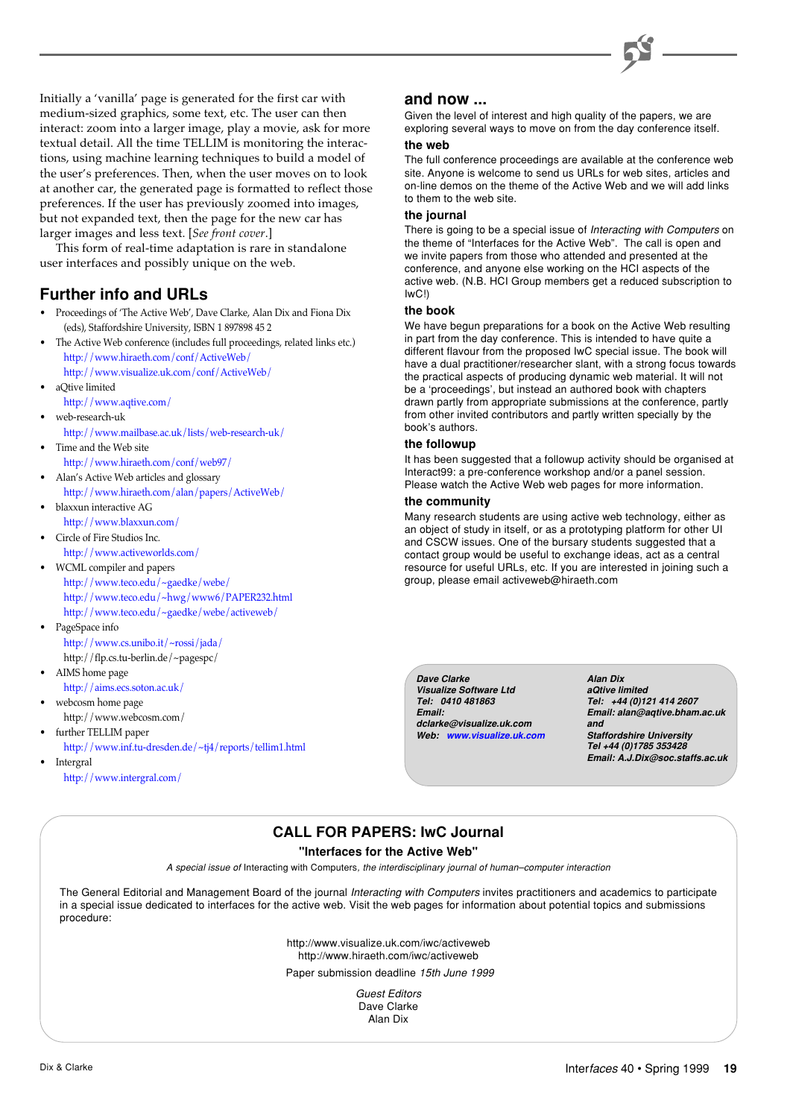

Initially a 'vanilla' page is generated for the first car with medium-sized graphics, some text, etc. The user can then interact: zoom into a larger image, play a movie, ask for more textual detail. All the time TELLIM is monitoring the interactions, using machine learning techniques to build a model of the user's preferences. Then, when the user moves on to look at another car, the generated page is formatted to reflect those preferences. If the user has previously zoomed into images, but not expanded text, then the page for the new car has larger images and less text. [*See front cover*.]

This form of real-time adaptation is rare in standalone user interfaces and possibly unique on the web.

# **Further info and URLs**

- Proceedings of 'The Active Web', Dave Clarke, Alan Dix and Fiona Dix (eds), Staffordshire University, ISBN 1 897898 45 2
- The Active Web conference (includes full proceedings, related links etc.) <http://www.hiraeth.com/conf/ActiveWeb/>
- <http://www.visualize.uk.com/conf/ActiveWeb/> • aQtive limited
- <http://www.aqtive.com/>
- web-research-uk [http://www.mailbase.ac.uk/lists/web-research-uk/](http://www.jiscmail.ac.uk/lists/web-research-uk.html)
- Time and the Web site
- <http://www.hiraeth.com/conf/web97/>
- Alan's Active Web articles and glossary <http://www.hiraeth.com/alan/papers/ActiveWeb/>
- blaxxun interactive AG <http://www.blaxxun.com/>
- Circle of Fire Studios Inc.
- <http://www.activeworlds.com/>
- WCML compiler and papers <http://www.teco.edu/~gaedke/webe/> <http://www.teco.edu/~hwg/www6/PAPER232.html> <http://www.teco.edu/~gaedke/webe/activeweb/>
- PageSpace info <http://www.cs.unibo.it/~rossi/jada/> http://flp.cs.tu-berlin.de/~pagespc/ • AIMS home page
- <http://aims.ecs.soton.ac.uk/>
- webcosm home page http://www.webcosm.com/
- further TELLIM paper
	- <http://www.inf.tu-dresden.de/~tj4/reports/tellim1.html>

**Intergral** <http://www.intergral.com/>

# **and now ...**

Given the level of interest and high quality of the papers, we are exploring several ways to move on from the day conference itself.

## **the web**

The full conference proceedings are available at the conference web site. Anyone is welcome to send us URLs for web sites, articles and on-line demos on the theme of the Active Web and we will add links to them to the web site.

# **the journal**

There is going to be a special issue of Interacting with Computers on the theme of "Interfaces for the Active Web". The call is open and we invite papers from those who attended and presented at the conference, and anyone else working on the HCI aspects of the active web. (N.B. HCI Group members get a reduced subscription to IwC!)

## **the book**

We have begun preparations for a book on the Active Web resulting in part from the day conference. This is intended to have quite a different flavour from the proposed IwC special issue. The book will have a dual practitioner/researcher slant, with a strong focus towards the practical aspects of producing dynamic web material. It will not be a 'proceedings', but instead an authored book with chapters drawn partly from appropriate submissions at the conference, partly from other invited contributors and partly written specially by the book's authors.

## **the followup**

It has been suggested that a followup activity should be organised at Interact99: a pre-conference workshop and/or a panel session. Please watch the Active Web web pages for more information.

#### **the community**

Many research students are using active web technology, either as an object of study in itself, or as a prototyping platform for other UI and CSCW issues. One of the bursary students suggested that a contact group would be useful to exchange ideas, act as a central resource for useful URLs, etc. If you are interested in joining such a group, please email activeweb@hiraeth.com

**Dave Clarke Visualize Software Ltd Tel: 0410 481863 Email: dclarke@visualize.uk.com Web: [www.visualize.uk.com](http://www.visualize.uk.com)**

**Alan Dix aQtive limited Tel: +44 (0)121 414 2607 Email: alan@aqtive.bham.ac.uk and Staffordshire University Tel +44 (0)1785 353428 Email: A.J.Dix@soc.staffs.ac.uk**

# **CALL FOR PAPERS: IwC Journal**

## **"Interfaces for the Active Web"**

A special issue of Interacting with Computers, the interdisciplinary journal of human–computer interaction

The General Editorial and Management Board of the journal Interacting with Computers invites practitioners and academics to participate in a special issue dedicated to interfaces for the active web. Visit the web pages for information about potential topics and submissions procedure:

> http://www.visualize.uk.com/iwc/activeweb http://www.hiraeth.com/iwc/activeweb

Paper submission deadline 15th June 1999

Guest Editors Dave Clarke Alan Dix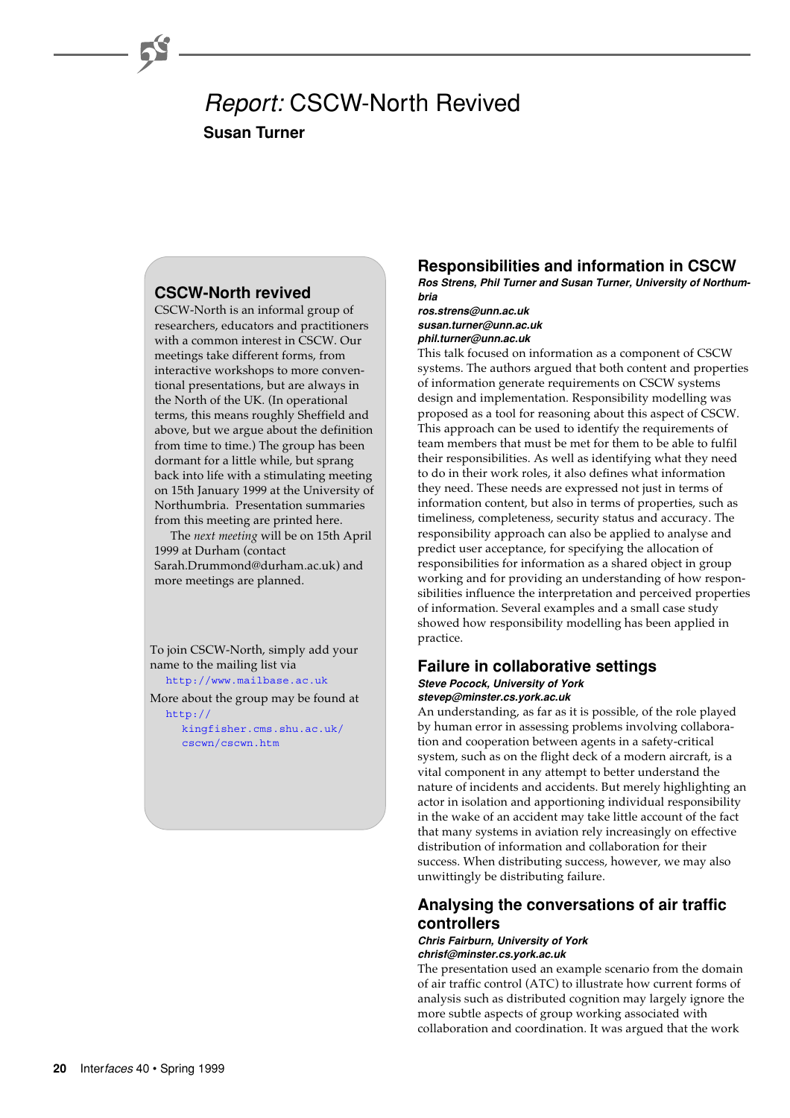# Report: CSCW-North Revived **Susan Turner**

# **CSCW-North revived**

CSCW-North is an informal group of researchers, educators and practitioners with a common interest in CSCW. Our meetings take different forms, from interactive workshops to more conventional presentations, but are always in the North of the UK. (In operational terms, this means roughly Sheffield and above, but we argue about the definition from time to time.) The group has been dormant for a little while, but sprang back into life with a stimulating meeting on 15th January 1999 at the University of Northumbria. Presentation summaries from this meeting are printed here.

The *next meeting* will be on 15th April 1999 at Durham (contact Sarah.Drummond@durham.ac.uk) and more meetings are planned.

To join CSCW-North, simply add your name to the mailing list via [http://www.mailbase.ac.uk](http://www.mailbase.ac.uk/)

More about the group may be found at

http:// [kingfisher.cms.shu.ac.uk/](http://kingfisher.cms.shu.ac.uk/cscwn/cscwn.htm) cscwn/cscwn.htm

# **Responsibilities and information in CSCW**

**Ros Strens, Phil Turner and Susan Turner, University of Northumbria**

**ros.strens@unn.ac.uk susan.turner@unn.ac.uk phil.turner@unn.ac.uk**

This talk focused on information as a component of CSCW systems. The authors argued that both content and properties of information generate requirements on CSCW systems design and implementation. Responsibility modelling was proposed as a tool for reasoning about this aspect of CSCW. This approach can be used to identify the requirements of team members that must be met for them to be able to fulfil their responsibilities. As well as identifying what they need to do in their work roles, it also defines what information they need. These needs are expressed not just in terms of information content, but also in terms of properties, such as timeliness, completeness, security status and accuracy. The responsibility approach can also be applied to analyse and predict user acceptance, for specifying the allocation of responsibilities for information as a shared object in group working and for providing an understanding of how responsibilities influence the interpretation and perceived properties of information. Several examples and a small case study showed how responsibility modelling has been applied in practice.

#### **Failure in collaborative settings Steve Pocock, University of York stevep@minster.cs.york.ac.uk**

An understanding, as far as it is possible, of the role played by human error in assessing problems involving collaboration and cooperation between agents in a safety-critical system, such as on the flight deck of a modern aircraft, is a vital component in any attempt to better understand the nature of incidents and accidents. But merely highlighting an actor in isolation and apportioning individual responsibility in the wake of an accident may take little account of the fact that many systems in aviation rely increasingly on effective distribution of information and collaboration for their success. When distributing success, however, we may also unwittingly be distributing failure.

# **Analysing the conversations of air traffic controllers**

#### **Chris Fairburn, University of York chrisf@minster.cs.york.ac.uk**

The presentation used an example scenario from the domain of air traffic control (ATC) to illustrate how current forms of analysis such as distributed cognition may largely ignore the more subtle aspects of group working associated with collaboration and coordination. It was argued that the work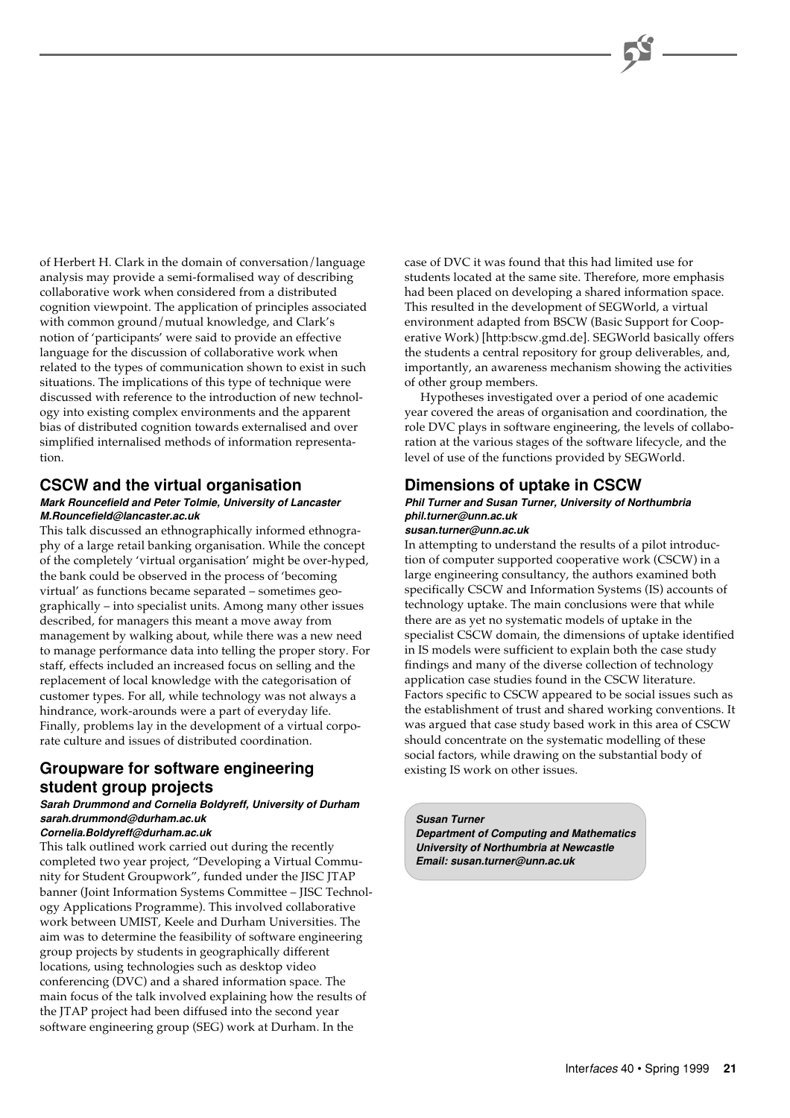of Herbert H. Clark in the domain of conversation/language analysis may provide a semi-formalised way of describing collaborative work when considered from a distributed cognition viewpoint. The application of principles associated with common ground/mutual knowledge, and Clark's notion of 'participants' were said to provide an effective language for the discussion of collaborative work when related to the types of communication shown to exist in such situations. The implications of this type of technique were discussed with reference to the introduction of new technology into existing complex environments and the apparent bias of distributed cognition towards externalised and over simplified internalised methods of information representation.

# **CSCW and the virtual organisation**

#### **Mark Rouncefield and Peter Tolmie, University of Lancaster M.Rouncefield@lancaster.ac.uk**

This talk discussed an ethnographically informed ethnography of a large retail banking organisation. While the concept of the completely 'virtual organisation' might be over-hyped, the bank could be observed in the process of 'becoming virtual' as functions became separated – sometimes geographically – into specialist units. Among many other issues described, for managers this meant a move away from management by walking about, while there was a new need to manage performance data into telling the proper story. For staff, effects included an increased focus on selling and the replacement of local knowledge with the categorisation of customer types. For all, while technology was not always a hindrance, work-arounds were a part of everyday life. Finally, problems lay in the development of a virtual corporate culture and issues of distributed coordination.

# **Groupware for software engineering student group projects**

# **Sarah Drummond and Cornelia Boldyreff, University of Durham sarah.drummond@durham.ac.uk**

**Cornelia.Boldyreff@durham.ac.uk**

This talk outlined work carried out during the recently completed two year project, "Developing a Virtual Community for Student Groupwork", funded under the JISC JTAP banner (Joint Information Systems Committee – JISC Technology Applications Programme). This involved collaborative work between UMIST, Keele and Durham Universities. The aim was to determine the feasibility of software engineering group projects by students in geographically different locations, using technologies such as desktop video conferencing (DVC) and a shared information space. The main focus of the talk involved explaining how the results of the JTAP project had been diffused into the second year software engineering group (SEG) work at Durham. In the

case of DVC it was found that this had limited use for students located at the same site. Therefore, more emphasis had been placed on developing a shared information space. This resulted in the development of SEGWorld, a virtual environment adapted from BSCW (Basic Support for Cooperative Work) [http:bscw.gmd.de]. SEGWorld basically offers the students a central repository for group deliverables, and, importantly, an awareness mechanism showing the activities of other group members.

Hypotheses investigated over a period of one academic year covered the areas of organisation and coordination, the role DVC plays in software engineering, the levels of collaboration at the various stages of the software lifecycle, and the level of use of the functions provided by SEGWorld.

# **Dimensions of uptake in CSCW**

## **Phil Turner and Susan Turner, University of Northumbria phil.turner@unn.ac.uk**

#### **susan.turner@unn.ac.uk**

In attempting to understand the results of a pilot introduction of computer supported cooperative work (CSCW) in a large engineering consultancy, the authors examined both specifically CSCW and Information Systems (IS) accounts of technology uptake. The main conclusions were that while there are as yet no systematic models of uptake in the specialist CSCW domain, the dimensions of uptake identified in IS models were sufficient to explain both the case study findings and many of the diverse collection of technology application case studies found in the CSCW literature. Factors specific to CSCW appeared to be social issues such as the establishment of trust and shared working conventions. It was argued that case study based work in this area of CSCW should concentrate on the systematic modelling of these social factors, while drawing on the substantial body of existing IS work on other issues.

#### **Susan Turner**

**Department of Computing and Mathematics University of Northumbria at Newcastle Email: susan.turner@unn.ac.uk**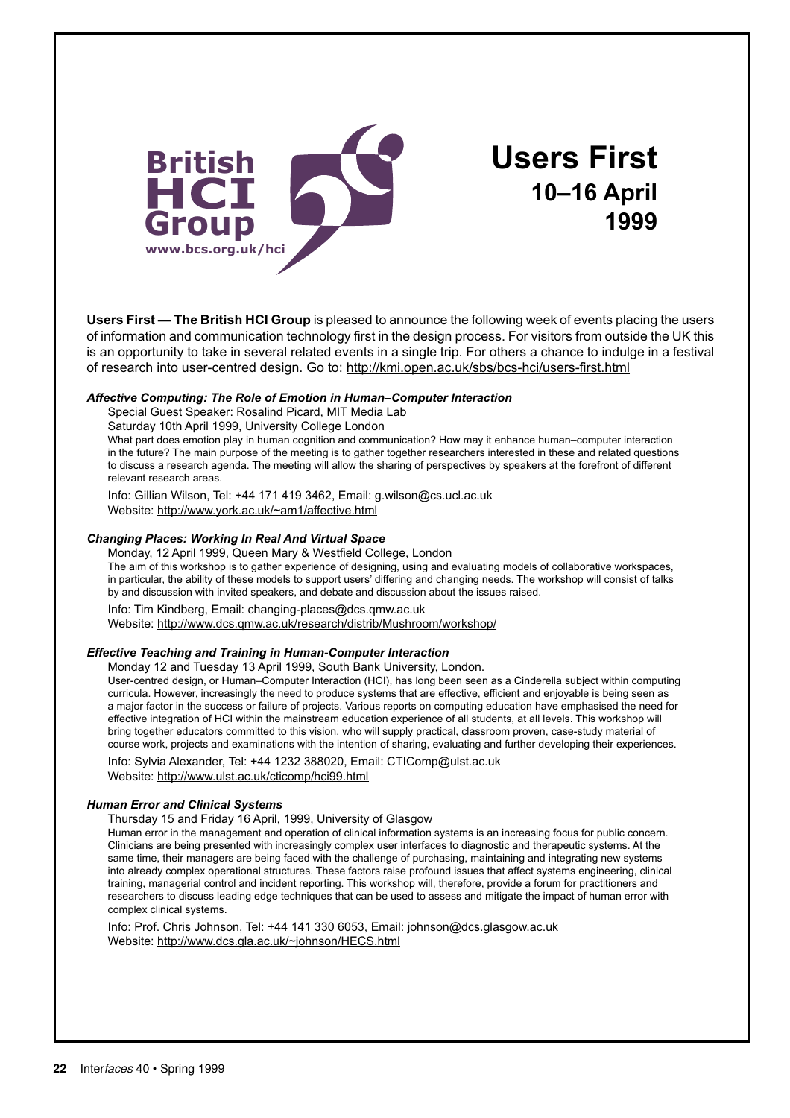

**Users First 10–16 April 1999**

**Users First — The British HCI Group** is pleased to announce the following week of events placing the users of information and communication technology first in the design process. For visitors from outside the UK this is an opportunity to take in several related events in a single trip. For others a chance to indulge in a festival of research into user-centred design. Go to: http://kmi.open.ac.uk/sbs/bcs-hci/users-first.html

#### *Affective Computing: The Role of Emotion in Human–Computer Interaction*

Special Guest Speaker: Rosalind Picard, MIT Media Lab

Saturday 10th April 1999, University College London

What part does emotion play in human cognition and communication? How may it enhance human–computer interaction in the future? The main purpose of the meeting is to gather together researchers interested in these and related questions to discuss a research agenda. The meeting will allow the sharing of perspectives by speakers at the forefront of different relevant research areas.

Info: Gillian Wilson, Tel: +44 171 419 3462, Email: g.wilson@cs.ucl.ac.uk Website: http://www.york.ac.uk/~am1/affective.html

#### *Changing Places: Working In Real And Virtual Space*

Monday, 12 April 1999, Queen Mary & Westfield College, London The aim of this workshop is to gather experience of designing, using and evaluating models of collaborative workspaces, in particular, the ability of these models to support users' differing and changing needs. The workshop will consist of talks by and discussion with invited speakers, and debate and discussion about the issues raised.

Info: Tim Kindberg, Email: changing-places@dcs.qmw.ac.uk

Website: http://www.dcs.qmw.ac.uk/research/distrib/Mushroom/workshop/

#### *Effective Teaching and Training in Human-Computer Interaction*

Monday 12 and Tuesday 13 April 1999, South Bank University, London.

User-centred design, or Human–Computer Interaction (HCI), has long been seen as a Cinderella subject within computing curricula. However, increasingly the need to produce systems that are effective, efficient and enjoyable is being seen as a major factor in the success or failure of projects. Various reports on computing education have emphasised the need for effective integration of HCI within the mainstream education experience of all students, at all levels. This workshop will bring together educators committed to this vision, who will supply practical, classroom proven, case-study material of course work, projects and examinations with the intention of sharing, evaluating and further developing their experiences.

Info: Sylvia Alexander, Tel: +44 1232 388020, Email: CTIComp@ulst.ac.uk Website: http://www.ulst.ac.uk/cticomp/hci99.html

#### *Human Error and Clinical Systems*

Thursday 15 and Friday 16 April, 1999, University of Glasgow

Human error in the management and operation of clinical information systems is an increasing focus for public concern. Clinicians are being presented with increasingly complex user interfaces to diagnostic and therapeutic systems. At the same time, their managers are being faced with the challenge of purchasing, maintaining and integrating new systems into already complex operational structures. These factors raise profound issues that affect systems engineering, clinical training, managerial control and incident reporting. This workshop will, therefore, provide a forum for practitioners and researchers to discuss leading edge techniques that can be used to assess and mitigate the impact of human error with complex clinical systems.

Info: Prof. Chris Johnson, Tel: +44 141 330 6053, Email: johnson@dcs.glasgow.ac.uk Website: http://www.dcs.gla.ac.uk/~johnson/HECS.html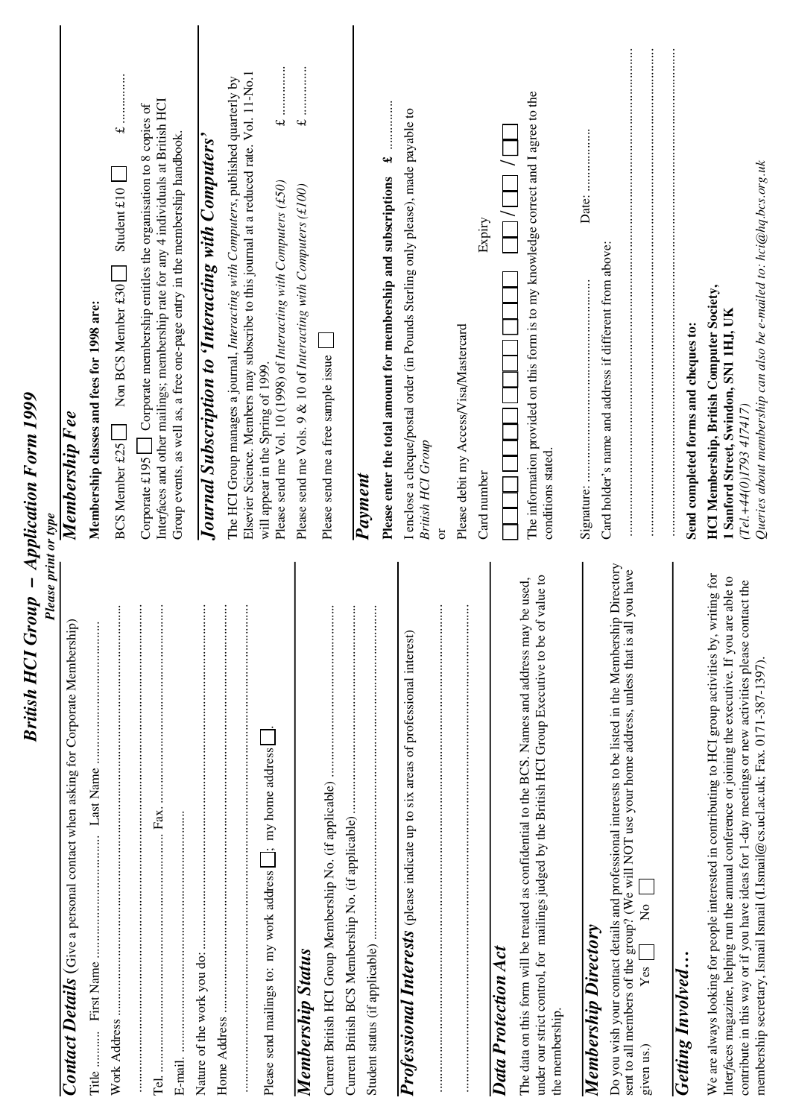| British HCI Group - Application Form 1999<br><b>Please print or type</b>                                                                                                                                                                                                                                                                                                                                 |                                                                                                                                                                                                                                                                                           |
|----------------------------------------------------------------------------------------------------------------------------------------------------------------------------------------------------------------------------------------------------------------------------------------------------------------------------------------------------------------------------------------------------------|-------------------------------------------------------------------------------------------------------------------------------------------------------------------------------------------------------------------------------------------------------------------------------------------|
| <b>Contact Details</b> (Give a personal contact when asking for Corporate Membership)                                                                                                                                                                                                                                                                                                                    | Membership Fee                                                                                                                                                                                                                                                                            |
| Title.                                                                                                                                                                                                                                                                                                                                                                                                   | Membership classes and fees for 1998 are:                                                                                                                                                                                                                                                 |
| $\vdots$<br>Work Address                                                                                                                                                                                                                                                                                                                                                                                 | Student $£10$<br>Non BCS Member £30<br>BCS Member £25                                                                                                                                                                                                                                     |
| $\vdots$<br>$\vdots$<br>Fax.                                                                                                                                                                                                                                                                                                                                                                             | Interfaces and other mailings; membership rate for any 4 individuals at British HCI<br>Corporate membership entitles the organisation to 8 copies of<br>Group events, as well as, a free one-page entry in the membership handbook.<br>Corporate £195                                     |
| $\vdots$                                                                                                                                                                                                                                                                                                                                                                                                 | Journal Subscription to 'Interacting with Computers'                                                                                                                                                                                                                                      |
| $\vdots$<br>$\vdots$<br>$\perp$ ; my home address<br>Please send mailings to: my work address                                                                                                                                                                                                                                                                                                            | Elsevier Science. Members may subscribe to this journal at a reduced rate. Vol. 11-No.1<br>The HCI Group manages a journal, Interacting with Computers, published quarterly by<br>Please send me Vol. 10 (1998) of Interacting with Computers (£50)<br>will appear in the Spring of 1999. |
| Membership Status                                                                                                                                                                                                                                                                                                                                                                                        | .<br>.<br>.<br>.<br>.<br>.<br>.<br>.<br>$\rightarrow$<br>Please send me Vols. 9 & 10 of Interacting with Computers (£100)                                                                                                                                                                 |
| $\vdots$                                                                                                                                                                                                                                                                                                                                                                                                 | Please send me a free sample issue                                                                                                                                                                                                                                                        |
| $\vdots$<br>$\vdots$                                                                                                                                                                                                                                                                                                                                                                                     | વન્ટ<br>Please enter the total amount for membership and subscriptions<br>Payment                                                                                                                                                                                                         |
| $\vdots$<br>Professional Interests (please indicate up to six areas of professional interest)                                                                                                                                                                                                                                                                                                            | I enclose a cheque/postal order (in Pounds Sterling only please), made payable to<br><b>British HCI Group</b><br>ð                                                                                                                                                                        |
| $\vdots$                                                                                                                                                                                                                                                                                                                                                                                                 | Expiry<br>Please debit my Access/Visa/Mastercard<br>Card number                                                                                                                                                                                                                           |
| value to<br>The data on this form will be treated as confidential to the BCS. Names and address may be used,<br>under our strict control, for mailings judged by the British HCI Group Executive to be of<br>Data Protection Act<br>the membership.                                                                                                                                                      | The information provided on this form is to my knowledge correct and I agree to the<br>conditions stated.                                                                                                                                                                                 |
| Directory<br>you have<br>Do you wish your contact details and professional interests to be listed in the Membership<br>sent to all members of the group? (We will NOT use your home address, unless that is all<br>$\overline{a}$<br><b>Membership Directory</b><br>Yes<br>given us.)                                                                                                                    | Date:<br>Card holder's name and address if different from above:                                                                                                                                                                                                                          |
| <b>Getting Involved</b>                                                                                                                                                                                                                                                                                                                                                                                  | Send completed forms and cheques to:                                                                                                                                                                                                                                                      |
| We are always looking for people interested in contributing to HCI group activities by, writing for<br>able to<br>contribute in this way or if you have ideas for 1-day meetings or new activities please contact the<br>Interfaces magazine, helping run the annual conference or joining the executive. If you are<br>membership secretary, Ismail Ismail (I.Ismail@cs.ucl.ac.uk; Fax. 0171-387-1397). | Queries about membership can also be e-mailed to: hci@hq.bcs.org.uk<br><b>HCI Membership, British Computer Society,</b><br>1 Sanford Street, Swindon, SN1 1HJ, UK<br>(Tel.+44(0)I793 417417)                                                                                              |